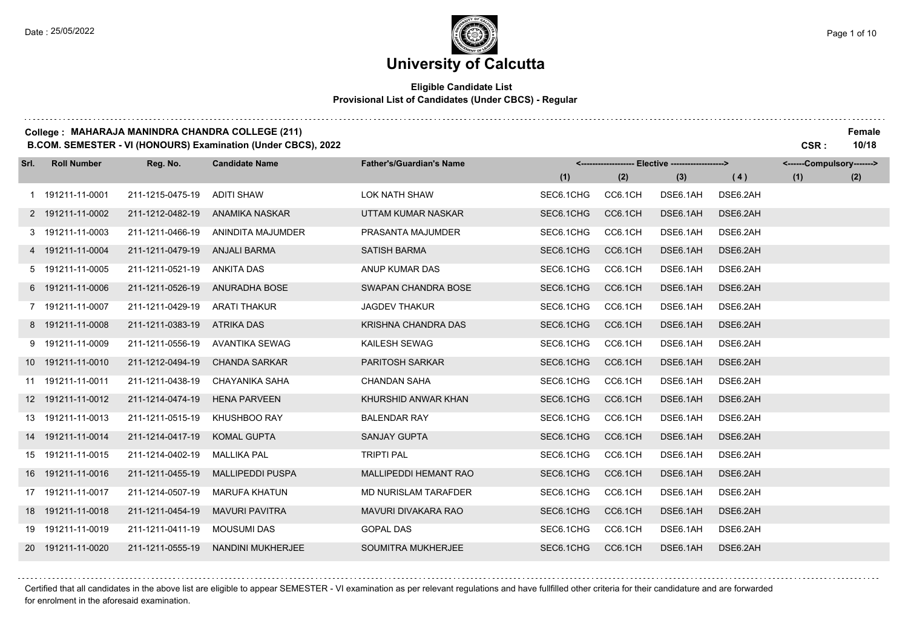#### **Eligible Candidate List Provisional List of Candidates (Under CBCS) - Regular**

#### **College : MAHARAJA MANINDRA CHANDRA COLLEGE (211) Female**

**B.COM. SEMESTER - VI (HONOURS) Examination (Under CBCS), 2022 CSR : 10/18**

| Srl. | <b>Roll Number</b> | Reg. No.         | <b>Candidate Name</b>   | <b>Father's/Guardian's Name</b> |           |         | <-------------------- Elective -------------------> |          | <------Compulsory-------> |     |
|------|--------------------|------------------|-------------------------|---------------------------------|-----------|---------|-----------------------------------------------------|----------|---------------------------|-----|
|      |                    |                  |                         |                                 | (1)       | (2)     | (3)                                                 | (4)      | (1)                       | (2) |
|      | 1 191211-11-0001   | 211-1215-0475-19 | <b>ADITI SHAW</b>       | <b>LOK NATH SHAW</b>            | SEC6.1CHG | CC6.1CH | DSE6.1AH                                            | DSE6.2AH |                           |     |
|      | 2 191211-11-0002   | 211-1212-0482-19 | ANAMIKA NASKAR          | UTTAM KUMAR NASKAR              | SEC6.1CHG | CC6.1CH | DSE6.1AH                                            | DSE6.2AH |                           |     |
|      | 3 191211-11-0003   | 211-1211-0466-19 | ANINDITA MAJUMDER       | PRASANTA MAJUMDER               | SEC6.1CHG | CC6.1CH | DSE6.1AH                                            | DSE6.2AH |                           |     |
|      | 4 191211-11-0004   | 211-1211-0479-19 | ANJALI BARMA            | <b>SATISH BARMA</b>             | SEC6.1CHG | CC6.1CH | DSE6.1AH                                            | DSE6.2AH |                           |     |
|      | 5 191211-11-0005   | 211-1211-0521-19 | <b>ANKITA DAS</b>       | ANUP KUMAR DAS                  | SEC6.1CHG | CC6.1CH | DSE6.1AH                                            | DSE6.2AH |                           |     |
|      | 6 191211-11-0006   | 211-1211-0526-19 | <b>ANURADHA BOSE</b>    | SWAPAN CHANDRA BOSE             | SEC6.1CHG | CC6.1CH | DSE6.1AH                                            | DSE6.2AH |                           |     |
|      | 7 191211-11-0007   | 211-1211-0429-19 | <b>ARATI THAKUR</b>     | <b>JAGDEV THAKUR</b>            | SEC6.1CHG | CC6.1CH | DSE6.1AH                                            | DSE6.2AH |                           |     |
|      | 8 191211-11-0008   | 211-1211-0383-19 | <b>ATRIKA DAS</b>       | KRISHNA CHANDRA DAS             | SEC6.1CHG | CC6.1CH | DSE6.1AH                                            | DSE6.2AH |                           |     |
|      | 9 191211-11-0009   | 211-1211-0556-19 | AVANTIKA SEWAG          | KAILESH SEWAG                   | SEC6.1CHG | CC6.1CH | DSE6.1AH                                            | DSE6.2AH |                           |     |
|      | 10 191211-11-0010  | 211-1212-0494-19 | <b>CHANDA SARKAR</b>    | <b>PARITOSH SARKAR</b>          | SEC6.1CHG | CC6.1CH | DSE6.1AH                                            | DSE6.2AH |                           |     |
|      | 11 191211-11-0011  | 211-1211-0438-19 | <b>CHAYANIKA SAHA</b>   | <b>CHANDAN SAHA</b>             | SEC6.1CHG | CC6.1CH | DSE6.1AH                                            | DSE6.2AH |                           |     |
|      | 12 191211-11-0012  | 211-1214-0474-19 | <b>HENA PARVEEN</b>     | KHURSHID ANWAR KHAN             | SEC6.1CHG | CC6.1CH | DSE6.1AH                                            | DSE6.2AH |                           |     |
|      | 13 191211-11-0013  | 211-1211-0515-19 | KHUSHBOO RAY            | <b>BALENDAR RAY</b>             | SEC6.1CHG | CC6.1CH | DSE6.1AH                                            | DSE6.2AH |                           |     |
|      | 14 191211-11-0014  | 211-1214-0417-19 | <b>KOMAL GUPTA</b>      | <b>SANJAY GUPTA</b>             | SEC6.1CHG | CC6.1CH | DSE6.1AH                                            | DSE6.2AH |                           |     |
|      | 15 191211-11-0015  | 211-1214-0402-19 | <b>MALLIKA PAL</b>      | <b>TRIPTI PAL</b>               | SEC6.1CHG | CC6.1CH | DSE6.1AH                                            | DSE6.2AH |                           |     |
|      | 16 191211-11-0016  | 211-1211-0455-19 | <b>MALLIPEDDI PUSPA</b> | MALLIPEDDI HEMANT RAO           | SEC6.1CHG | CC6.1CH | DSE6.1AH                                            | DSE6.2AH |                           |     |
|      | 17 191211-11-0017  | 211-1214-0507-19 | <b>MARUFA KHATUN</b>    | MD NURISLAM TARAFDER            | SEC6.1CHG | CC6.1CH | DSE6.1AH                                            | DSE6.2AH |                           |     |
|      | 18 191211-11-0018  | 211-1211-0454-19 | <b>MAVURI PAVITRA</b>   | MAVURI DIVAKARA RAO             | SEC6.1CHG | CC6.1CH | DSE6.1AH                                            | DSE6.2AH |                           |     |
|      | 19 191211-11-0019  | 211-1211-0411-19 | <b>MOUSUMI DAS</b>      | <b>GOPAL DAS</b>                | SEC6.1CHG | CC6.1CH | DSE6.1AH                                            | DSE6.2AH |                           |     |
|      | 20 191211-11-0020  | 211-1211-0555-19 | NANDINI MUKHERJEE       | SOUMITRA MUKHERJEE              | SEC6.1CHG | CC6.1CH | DSE6.1AH                                            | DSE6.2AH |                           |     |

Certified that all candidates in the above list are eligible to appear SEMESTER - VI examination as per relevant regulations and have fullfilled other criteria for their candidature and are forwarded

for enrolment in the aforesaid examination.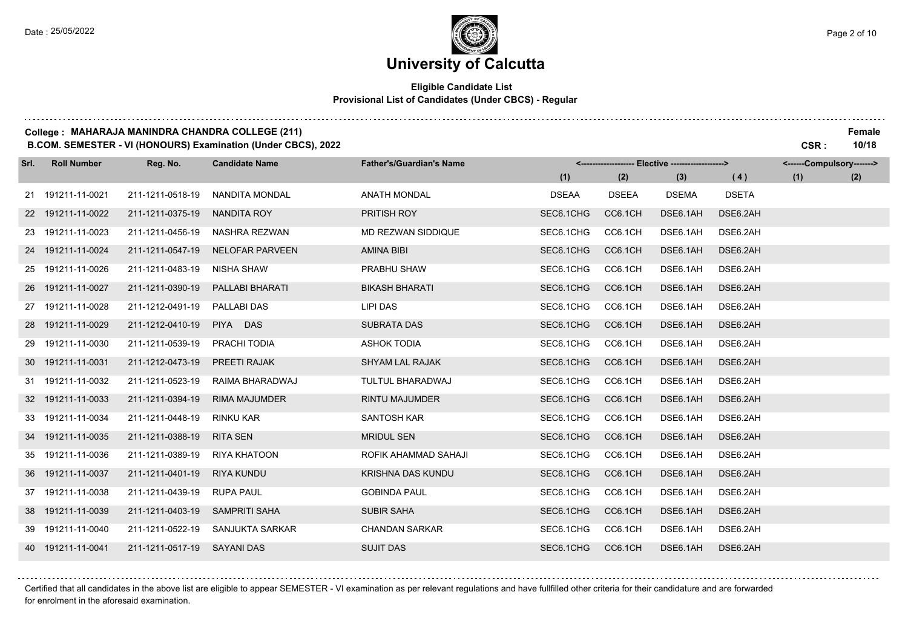#### **Eligible Candidate List Provisional List of Candidates (Under CBCS) - Regular**

#### **College : MAHARAJA MANINDRA CHANDRA COLLEGE (211) Female**

**B.COM. SEMESTER - VI (HONOURS) Examination (Under CBCS), 2022 CSR : 10/18**

| Srl. | <b>Roll Number</b> | Reg. No.                    | <b>Candidate Name</b> | <b>Father's/Guardian's Name</b> |              |              | <-------------------- Elective ------------------> |              | <------Compulsory-------> |     |
|------|--------------------|-----------------------------|-----------------------|---------------------------------|--------------|--------------|----------------------------------------------------|--------------|---------------------------|-----|
|      |                    |                             |                       |                                 | (1)          | (2)          | (3)                                                | (4)          | (1)                       | (2) |
|      | 21 191211-11-0021  | 211-1211-0518-19            | <b>NANDITA MONDAL</b> | <b>ANATH MONDAL</b>             | <b>DSEAA</b> | <b>DSEEA</b> | <b>DSEMA</b>                                       | <b>DSETA</b> |                           |     |
|      | 22 191211-11-0022  | 211-1211-0375-19            | NANDITA ROY           | PRITISH ROY                     | SEC6.1CHG    | CC6.1CH      | DSE6.1AH                                           | DSE6.2AH     |                           |     |
|      | 23 191211-11-0023  | 211-1211-0456-19            | NASHRA REZWAN         | MD REZWAN SIDDIQUE              | SEC6.1CHG    | CC6.1CH      | DSE6.1AH                                           | DSE6.2AH     |                           |     |
|      | 24 191211-11-0024  | 211-1211-0547-19            | NELOFAR PARVEEN       | AMINA BIBI                      | SEC6.1CHG    | CC6.1CH      | DSE6.1AH                                           | DSE6.2AH     |                           |     |
|      | 25 191211-11-0026  | 211-1211-0483-19            | <b>NISHA SHAW</b>     | PRABHU SHAW                     | SEC6.1CHG    | CC6.1CH      | DSE6.1AH                                           | DSE6.2AH     |                           |     |
|      | 26 191211-11-0027  | 211-1211-0390-19            | PALLABI BHARATI       | <b>BIKASH BHARATI</b>           | SEC6.1CHG    | CC6.1CH      | DSE6.1AH                                           | DSE6.2AH     |                           |     |
|      | 27 191211-11-0028  | 211-1212-0491-19            | <b>PALLABI DAS</b>    | LIPI DAS                        | SEC6.1CHG    | CC6.1CH      | DSE6.1AH                                           | DSE6.2AH     |                           |     |
|      | 28 191211-11-0029  | 211-1212-0410-19            | PIYA DAS              | <b>SUBRATA DAS</b>              | SEC6.1CHG    | CC6.1CH      | DSE6.1AH                                           | DSE6.2AH     |                           |     |
|      | 29 191211-11-0030  | 211-1211-0539-19            | PRACHI TODIA          | <b>ASHOK TODIA</b>              | SEC6.1CHG    | CC6.1CH      | DSE6.1AH                                           | DSE6.2AH     |                           |     |
|      | 30 191211-11-0031  | 211-1212-0473-19            | PREETI RAJAK          | <b>SHYAM LAL RAJAK</b>          | SEC6.1CHG    | CC6.1CH      | DSE6.1AH                                           | DSE6.2AH     |                           |     |
|      | 31 191211-11-0032  | 211-1211-0523-19            | RAIMA BHARADWAJ       | TULTUL BHARADWAJ                | SEC6.1CHG    | CC6.1CH      | DSE6.1AH                                           | DSE6.2AH     |                           |     |
|      | 32 191211-11-0033  | 211-1211-0394-19            | <b>RIMA MAJUMDER</b>  | RINTU MAJUMDER                  | SEC6.1CHG    | CC6.1CH      | DSE6.1AH                                           | DSE6.2AH     |                           |     |
|      | 33 191211-11-0034  | 211-1211-0448-19            | RINKU KAR             | <b>SANTOSH KAR</b>              | SEC6.1CHG    | CC6.1CH      | DSE6.1AH                                           | DSE6.2AH     |                           |     |
|      | 34 191211-11-0035  | 211-1211-0388-19            | <b>RITA SEN</b>       | <b>MRIDUL SEN</b>               | SEC6.1CHG    | CC6.1CH      | DSE6.1AH                                           | DSE6.2AH     |                           |     |
|      | 35 191211-11-0036  | 211-1211-0389-19            | <b>RIYA KHATOON</b>   | ROFIK AHAMMAD SAHAJI            | SEC6.1CHG    | CC6.1CH      | DSE6.1AH                                           | DSE6.2AH     |                           |     |
|      | 36 191211-11-0037  | 211-1211-0401-19            | <b>RIYA KUNDU</b>     | <b>KRISHNA DAS KUNDU</b>        | SEC6.1CHG    | CC6.1CH      | DSE6.1AH                                           | DSE6.2AH     |                           |     |
|      | 37 191211-11-0038  | 211-1211-0439-19            | <b>RUPA PAUL</b>      | <b>GOBINDA PAUL</b>             | SEC6.1CHG    | CC6.1CH      | DSE6.1AH                                           | DSE6.2AH     |                           |     |
|      | 38 191211-11-0039  | 211-1211-0403-19            | <b>SAMPRITI SAHA</b>  | <b>SUBIR SAHA</b>               | SEC6.1CHG    | CC6.1CH      | DSE6.1AH                                           | DSE6.2AH     |                           |     |
|      | 39 191211-11-0040  | 211-1211-0522-19            | SANJUKTA SARKAR       | <b>CHANDAN SARKAR</b>           | SEC6.1CHG    | CC6.1CH      | DSE6.1AH                                           | DSE6.2AH     |                           |     |
|      | 40 191211-11-0041  | 211-1211-0517-19 SAYANI DAS |                       | <b>SUJIT DAS</b>                | SEC6.1CHG    | CC6.1CH      | DSE6.1AH                                           | DSE6.2AH     |                           |     |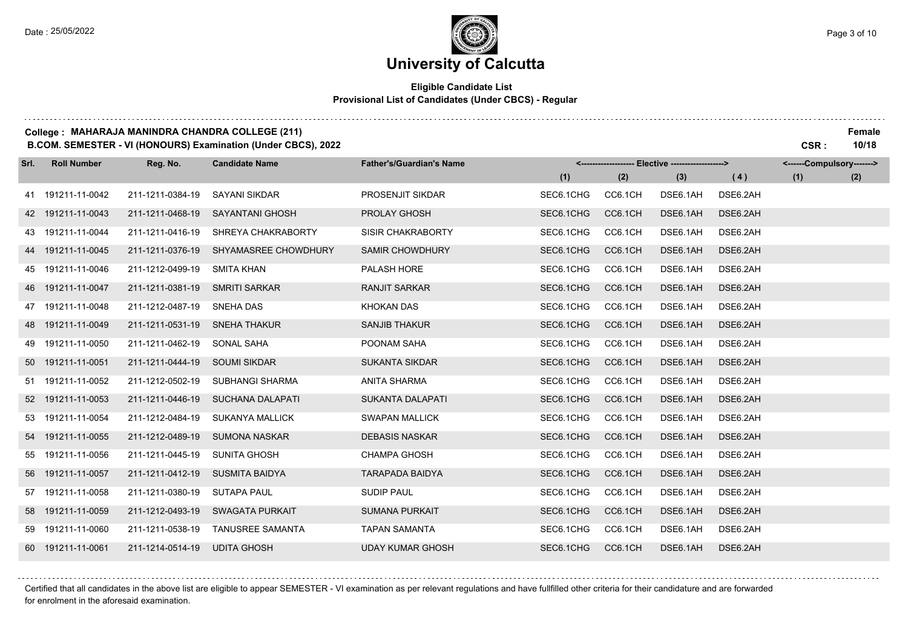#### **Eligible Candidate List Provisional List of Candidates (Under CBCS) - Regular**

#### **College : MAHARAJA MANINDRA CHANDRA COLLEGE (211) Female**

**B.COM. SEMESTER - VI (HONOURS) Examination (Under CBCS), 2022 CSR : 10/18**

| Srl. | <b>Roll Number</b> | Reg. No.         | <b>Candidate Name</b>   | <b>Father's/Guardian's Name</b> |           |         | <-------------------- Elective -------------------> |          | <------Compulsory-------> |     |
|------|--------------------|------------------|-------------------------|---------------------------------|-----------|---------|-----------------------------------------------------|----------|---------------------------|-----|
|      |                    |                  |                         |                                 | (1)       | (2)     | (3)                                                 | (4)      | (1)                       | (2) |
|      | 41 191211-11-0042  | 211-1211-0384-19 | <b>SAYANI SIKDAR</b>    | <b>PROSENJIT SIKDAR</b>         | SEC6.1CHG | CC6.1CH | DSE6.1AH                                            | DSE6.2AH |                           |     |
|      | 42 191211-11-0043  | 211-1211-0468-19 | <b>SAYANTANI GHOSH</b>  | PROLAY GHOSH                    | SEC6.1CHG | CC6.1CH | DSE6.1AH                                            | DSE6.2AH |                           |     |
|      | 43 191211-11-0044  | 211-1211-0416-19 | SHREYA CHAKRABORTY      | SISIR CHAKRABORTY               | SEC6.1CHG | CC6.1CH | DSE6.1AH                                            | DSE6.2AH |                           |     |
|      | 44 191211-11-0045  | 211-1211-0376-19 | SHYAMASREE CHOWDHURY    | <b>SAMIR CHOWDHURY</b>          | SEC6.1CHG | CC6.1CH | DSE6.1AH                                            | DSE6.2AH |                           |     |
|      | 45 191211-11-0046  | 211-1212-0499-19 | <b>SMITA KHAN</b>       | PALASH HORE                     | SEC6.1CHG | CC6.1CH | DSE6.1AH                                            | DSE6.2AH |                           |     |
|      | 46 191211-11-0047  | 211-1211-0381-19 | <b>SMRITI SARKAR</b>    | <b>RANJIT SARKAR</b>            | SEC6.1CHG | CC6.1CH | DSE6.1AH                                            | DSE6.2AH |                           |     |
|      | 47 191211-11-0048  | 211-1212-0487-19 | SNEHA DAS               | <b>KHOKAN DAS</b>               | SEC6.1CHG | CC6.1CH | DSE6.1AH                                            | DSE6.2AH |                           |     |
|      | 48 191211-11-0049  | 211-1211-0531-19 | SNEHA THAKUR            | <b>SANJIB THAKUR</b>            | SEC6.1CHG | CC6.1CH | DSE6.1AH                                            | DSE6.2AH |                           |     |
|      | 49 191211-11-0050  | 211-1211-0462-19 | SONAL SAHA              | POONAM SAHA                     | SEC6.1CHG | CC6.1CH | DSE6.1AH                                            | DSE6.2AH |                           |     |
|      | 50 191211-11-0051  | 211-1211-0444-19 | <b>SOUMI SIKDAR</b>     | <b>SUKANTA SIKDAR</b>           | SEC6.1CHG | CC6.1CH | DSE6.1AH                                            | DSE6.2AH |                           |     |
|      | 51 191211-11-0052  | 211-1212-0502-19 | <b>SUBHANGI SHARMA</b>  | <b>ANITA SHARMA</b>             | SEC6.1CHG | CC6.1CH | DSE6.1AH                                            | DSE6.2AH |                           |     |
|      | 52 191211-11-0053  | 211-1211-0446-19 | <b>SUCHANA DALAPATI</b> | <b>SUKANTA DALAPATI</b>         | SEC6.1CHG | CC6.1CH | DSE6.1AH                                            | DSE6.2AH |                           |     |
|      | 53 191211-11-0054  | 211-1212-0484-19 | <b>SUKANYA MALLICK</b>  | <b>SWAPAN MALLICK</b>           | SEC6.1CHG | CC6.1CH | DSE6.1AH                                            | DSE6.2AH |                           |     |
|      | 54 191211-11-0055  | 211-1212-0489-19 | <b>SUMONA NASKAR</b>    | <b>DEBASIS NASKAR</b>           | SEC6.1CHG | CC6.1CH | DSE6.1AH                                            | DSE6.2AH |                           |     |
|      | 55 191211-11-0056  | 211-1211-0445-19 | <b>SUNITA GHOSH</b>     | <b>CHAMPA GHOSH</b>             | SEC6.1CHG | CC6.1CH | DSE6.1AH                                            | DSE6.2AH |                           |     |
|      | 56 191211-11-0057  | 211-1211-0412-19 | <b>SUSMITA BAIDYA</b>   | <b>TARAPADA BAIDYA</b>          | SEC6.1CHG | CC6.1CH | DSE6.1AH                                            | DSE6.2AH |                           |     |
|      | 57 191211-11-0058  | 211-1211-0380-19 | <b>SUTAPA PAUL</b>      | <b>SUDIP PAUL</b>               | SEC6.1CHG | CC6.1CH | DSE6.1AH                                            | DSE6.2AH |                           |     |
|      | 58 191211-11-0059  | 211-1212-0493-19 | <b>SWAGATA PURKAIT</b>  | <b>SUMANA PURKAIT</b>           | SEC6.1CHG | CC6.1CH | DSE6.1AH                                            | DSE6.2AH |                           |     |
|      | 59 191211-11-0060  | 211-1211-0538-19 | <b>TANUSREE SAMANTA</b> | <b>TAPAN SAMANTA</b>            | SEC6.1CHG | CC6.1CH | DSE6.1AH                                            | DSE6.2AH |                           |     |
|      | 60 191211-11-0061  | 211-1214-0514-19 | <b>UDITA GHOSH</b>      | <b>UDAY KUMAR GHOSH</b>         | SEC6.1CHG | CC6.1CH | DSE6.1AH                                            | DSE6.2AH |                           |     |

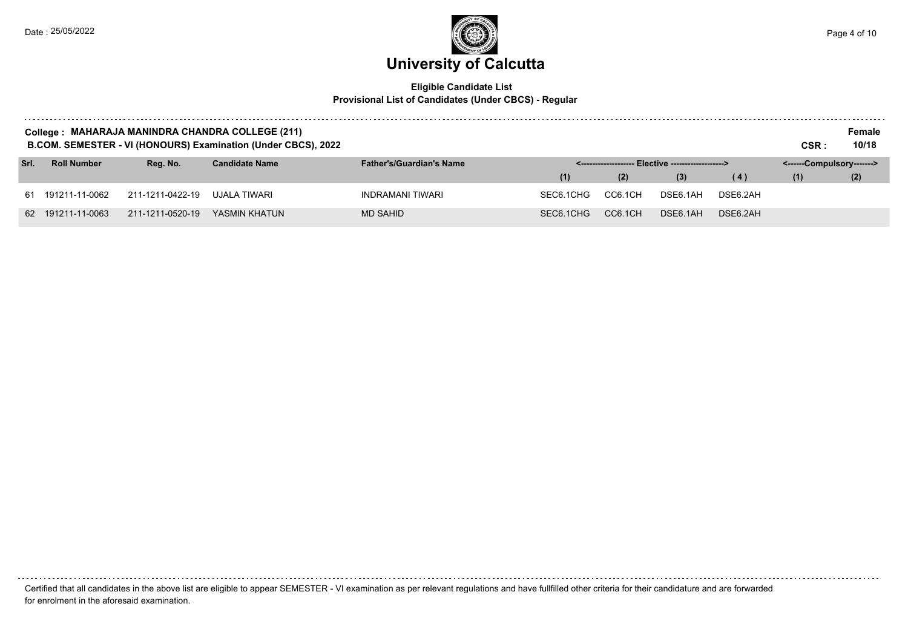### **University of Calcutta**  Date : 25/05/2022  $\blacksquare$  Page 4 of 10

#### **Eligible Candidate List Provisional List of Candidates (Under CBCS) - Regular**

| College: MAHARAJA MANINDRA CHANDRA COLLEGE (211)<br>B.COM. SEMESTER - VI (HONOURS) Examination (Under CBCS), 2022<br>CSR :<br>- Elective -------------------> |                    |                  |                       |                                 |           |         |                           |          |     |     |
|---------------------------------------------------------------------------------------------------------------------------------------------------------------|--------------------|------------------|-----------------------|---------------------------------|-----------|---------|---------------------------|----------|-----|-----|
| Srl.                                                                                                                                                          | <b>Roll Number</b> | Reg. No.         | <b>Candidate Name</b> | <b>Father's/Guardian's Name</b> |           |         | <------Compulsory-------> |          |     |     |
|                                                                                                                                                               |                    |                  |                       |                                 | (1)       | (2)     | (3)                       | (4)      | (1) | (2) |
|                                                                                                                                                               | 61 191211-11-0062  | 211-1211-0422-19 | UJALA TIWARI          | INDRAMANI TIWARI                | SEC6.1CHG | CC6.1CH | DSE6.1AH                  | DSE6.2AH |     |     |
|                                                                                                                                                               | 62 191211-11-0063  | 211-1211-0520-19 | YASMIN KHATUN         | <b>MD SAHID</b>                 | SEC6.1CHG | CC6.1CH | DSE6.1AH                  | DSE6.2AH |     |     |

Certified that all candidates in the above list are eligible to appear SEMESTER - VI examination as per relevant regulations and have fullfilled other criteria for their candidature and are forwarded for enrolment in the aforesaid examination.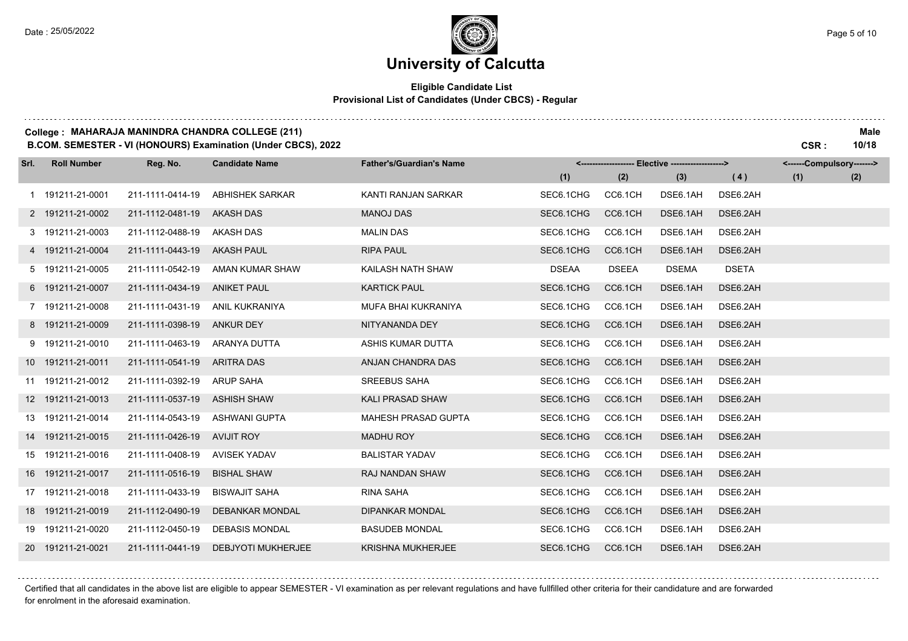#### **Eligible Candidate List Provisional List of Candidates (Under CBCS) - Regular**

#### **College : MAHARAJA MANINDRA CHANDRA COLLEGE (211) Male**

**B.COM. SEMESTER - VI (HONOURS) Examination (Under CBCS), 2022 CSR : 10/18**

| Srl. | <b>Roll Number</b> | Reg. No.         | <b>Candidate Name</b>     | <b>Father's/Guardian's Name</b> |              |              | <-------------------- Elective ------------------> |              | <------Compulsory-------> |     |
|------|--------------------|------------------|---------------------------|---------------------------------|--------------|--------------|----------------------------------------------------|--------------|---------------------------|-----|
|      |                    |                  |                           |                                 | (1)          | (2)          | (3)                                                | (4)          | (1)                       | (2) |
|      | 1 191211-21-0001   | 211-1111-0414-19 | <b>ABHISHEK SARKAR</b>    | KANTI RANJAN SARKAR             | SEC6.1CHG    | CC6.1CH      | DSE6.1AH                                           | DSE6.2AH     |                           |     |
|      | 2 191211-21-0002   | 211-1112-0481-19 | <b>AKASH DAS</b>          | <b>MANOJ DAS</b>                | SEC6.1CHG    | CC6.1CH      | DSE6.1AH                                           | DSE6.2AH     |                           |     |
|      | 3 191211-21-0003   | 211-1112-0488-19 | <b>AKASH DAS</b>          | <b>MALIN DAS</b>                | SEC6.1CHG    | CC6.1CH      | DSE6.1AH                                           | DSE6.2AH     |                           |     |
|      | 4 191211-21-0004   | 211-1111-0443-19 | <b>AKASH PAUL</b>         | <b>RIPA PAUL</b>                | SEC6.1CHG    | CC6.1CH      | DSE6.1AH                                           | DSE6.2AH     |                           |     |
|      | 5 191211-21-0005   | 211-1111-0542-19 | AMAN KUMAR SHAW           | KAILASH NATH SHAW               | <b>DSEAA</b> | <b>DSEEA</b> | <b>DSEMA</b>                                       | <b>DSETA</b> |                           |     |
|      | 6 191211-21-0007   | 211-1111-0434-19 | <b>ANIKET PAUL</b>        | <b>KARTICK PAUL</b>             | SEC6.1CHG    | CC6.1CH      | DSE6.1AH                                           | DSE6.2AH     |                           |     |
|      | 7 191211-21-0008   | 211-1111-0431-19 | <b>ANIL KUKRANIYA</b>     | MUFA BHAI KUKRANIYA             | SEC6.1CHG    | CC6.1CH      | DSE6.1AH                                           | DSE6.2AH     |                           |     |
|      | 8 191211-21-0009   | 211-1111-0398-19 | <b>ANKUR DEY</b>          | NITYANANDA DEY                  | SEC6.1CHG    | CC6.1CH      | DSE6.1AH                                           | DSE6.2AH     |                           |     |
|      | 9 191211-21-0010   | 211-1111-0463-19 | ARANYA DUTTA              | ASHIS KUMAR DUTTA               | SEC6.1CHG    | CC6.1CH      | DSE6.1AH                                           | DSE6.2AH     |                           |     |
|      | 10 191211-21-0011  | 211-1111-0541-19 | <b>ARITRA DAS</b>         | ANJAN CHANDRA DAS               | SEC6.1CHG    | CC6.1CH      | DSE6.1AH                                           | DSE6.2AH     |                           |     |
|      | 11 191211-21-0012  | 211-1111-0392-19 | <b>ARUP SAHA</b>          | <b>SREEBUS SAHA</b>             | SEC6.1CHG    | CC6.1CH      | DSE6.1AH                                           | DSE6.2AH     |                           |     |
|      | 12 191211-21-0013  | 211-1111-0537-19 | <b>ASHISH SHAW</b>        | <b>KALI PRASAD SHAW</b>         | SEC6.1CHG    | CC6.1CH      | DSE6.1AH                                           | DSE6.2AH     |                           |     |
|      | 13 191211-21-0014  | 211-1114-0543-19 | <b>ASHWANI GUPTA</b>      | MAHESH PRASAD GUPTA             | SEC6.1CHG    | CC6.1CH      | DSE6.1AH                                           | DSE6.2AH     |                           |     |
|      | 14 191211-21-0015  | 211-1111-0426-19 | <b>AVIJIT ROY</b>         | <b>MADHU ROY</b>                | SEC6.1CHG    | CC6.1CH      | DSE6.1AH                                           | DSE6.2AH     |                           |     |
|      | 15 191211-21-0016  | 211-1111-0408-19 | <b>AVISEK YADAV</b>       | <b>BALISTAR YADAV</b>           | SEC6.1CHG    | CC6.1CH      | DSE6.1AH                                           | DSE6.2AH     |                           |     |
|      | 16 191211-21-0017  | 211-1111-0516-19 | <b>BISHAL SHAW</b>        | RAJ NANDAN SHAW                 | SEC6.1CHG    | CC6.1CH      | DSE6.1AH                                           | DSE6.2AH     |                           |     |
|      | 17 191211-21-0018  | 211-1111-0433-19 | <b>BISWAJIT SAHA</b>      | RINA SAHA                       | SEC6.1CHG    | CC6.1CH      | DSE6.1AH                                           | DSE6.2AH     |                           |     |
|      | 18 191211-21-0019  | 211-1112-0490-19 | <b>DEBANKAR MONDAL</b>    | <b>DIPANKAR MONDAL</b>          | SEC6.1CHG    | CC6.1CH      | DSE6.1AH                                           | DSE6.2AH     |                           |     |
|      | 19 191211-21-0020  | 211-1112-0450-19 | <b>DEBASIS MONDAL</b>     | <b>BASUDEB MONDAL</b>           | SEC6.1CHG    | CC6.1CH      | DSE6.1AH                                           | DSE6.2AH     |                           |     |
|      | 20 191211-21-0021  | 211-1111-0441-19 | <b>DEBJYOTI MUKHERJEE</b> | <b>KRISHNA MUKHERJEE</b>        | SEC6.1CHG    | CC6.1CH      | DSE6.1AH                                           | DSE6.2AH     |                           |     |

Certified that all candidates in the above list are eligible to appear SEMESTER - VI examination as per relevant regulations and have fullfilled other criteria for their candidature and are forwarded for enrolment in the aforesaid examination.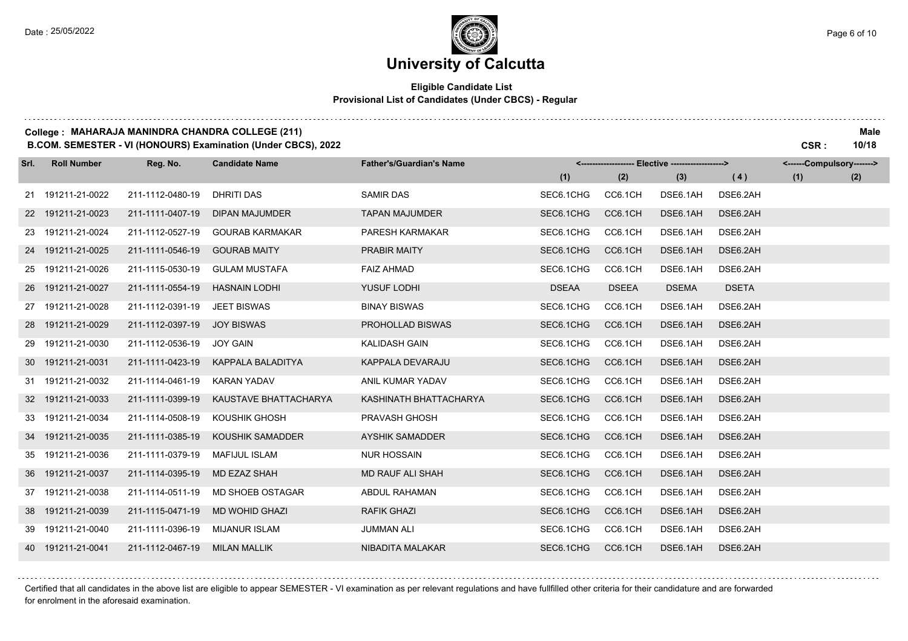### **University of Calcutta**

#### **Eligible Candidate List Provisional List of Candidates (Under CBCS) - Regular**

#### **College : MAHARAJA MANINDRA CHANDRA COLLEGE (211) Male**

**B.COM. SEMESTER - VI (HONOURS) Examination (Under CBCS), 2022 CSR : 10/18**

| Srl. | <b>Roll Number</b> | Reg. No.                      | <b>Candidate Name</b>  | <b>Father's/Guardian's Name</b> |              |              | <-------------------- Elective -------------------> |              | <------Compulsory-------> |     |
|------|--------------------|-------------------------------|------------------------|---------------------------------|--------------|--------------|-----------------------------------------------------|--------------|---------------------------|-----|
|      |                    |                               |                        |                                 | (1)          | (2)          | (3)                                                 | (4)          | (1)                       | (2) |
|      | 21 191211-21-0022  | 211-1112-0480-19              | <b>DHRITI DAS</b>      | <b>SAMIR DAS</b>                | SEC6.1CHG    | CC6.1CH      | DSE6.1AH                                            | DSE6.2AH     |                           |     |
|      | 22 191211-21-0023  | 211-1111-0407-19              | <b>DIPAN MAJUMDER</b>  | <b>TAPAN MAJUMDER</b>           | SEC6.1CHG    | CC6.1CH      | DSE6.1AH                                            | DSE6.2AH     |                           |     |
|      | 23 191211-21-0024  | 211-1112-0527-19              | <b>GOURAB KARMAKAR</b> | PARESH KARMAKAR                 | SEC6.1CHG    | CC6.1CH      | DSE6.1AH                                            | DSE6.2AH     |                           |     |
|      | 24 191211-21-0025  | 211-1111-0546-19              | <b>GOURAB MAITY</b>    | PRABIR MAITY                    | SEC6.1CHG    | CC6.1CH      | DSE6.1AH                                            | DSE6.2AH     |                           |     |
|      | 25 191211-21-0026  | 211-1115-0530-19              | <b>GULAM MUSTAFA</b>   | <b>FAIZ AHMAD</b>               | SEC6.1CHG    | CC6.1CH      | DSE6.1AH                                            | DSE6.2AH     |                           |     |
|      | 26 191211-21-0027  | 211-1111-0554-19              | <b>HASNAIN LODHI</b>   | YUSUF LODHI                     | <b>DSEAA</b> | <b>DSEEA</b> | <b>DSEMA</b>                                        | <b>DSETA</b> |                           |     |
|      | 27 191211-21-0028  | 211-1112-0391-19              | <b>JEET BISWAS</b>     | <b>BINAY BISWAS</b>             | SEC6.1CHG    | CC6.1CH      | DSE6.1AH                                            | DSE6.2AH     |                           |     |
|      | 28 191211-21-0029  | 211-1112-0397-19              | <b>JOY BISWAS</b>      | PROHOLLAD BISWAS                | SEC6.1CHG    | CC6.1CH      | DSE6.1AH                                            | DSE6.2AH     |                           |     |
|      | 29 191211-21-0030  | 211-1112-0536-19              | <b>JOY GAIN</b>        | <b>KALIDASH GAIN</b>            | SEC6.1CHG    | CC6.1CH      | DSE6.1AH                                            | DSE6.2AH     |                           |     |
|      | 30 191211-21-0031  | 211-1111-0423-19              | KAPPALA BALADITYA      | KAPPALA DEVARAJU                | SEC6.1CHG    | CC6.1CH      | DSE6.1AH                                            | DSE6.2AH     |                           |     |
|      | 31 191211-21-0032  | 211-1114-0461-19              | <b>KARAN YADAV</b>     | ANIL KUMAR YADAV                | SEC6.1CHG    | CC6.1CH      | DSE6.1AH                                            | DSE6.2AH     |                           |     |
|      | 32 191211-21-0033  | 211-1111-0399-19              | KAUSTAVE BHATTACHARYA  | KASHINATH BHATTACHARYA          | SEC6.1CHG    | CC6.1CH      | DSE6.1AH                                            | DSE6.2AH     |                           |     |
|      | 33 191211-21-0034  | 211-1114-0508-19              | KOUSHIK GHOSH          | PRAVASH GHOSH                   | SEC6.1CHG    | CC6.1CH      | DSE6.1AH                                            | DSE6.2AH     |                           |     |
|      | 34 191211-21-0035  | 211-1111-0385-19              | KOUSHIK SAMADDER       | <b>AYSHIK SAMADDER</b>          | SEC6.1CHG    | CC6.1CH      | DSE6.1AH                                            | DSE6.2AH     |                           |     |
|      | 35 191211-21-0036  | 211-1111-0379-19              | MAFIJUL ISLAM          | <b>NUR HOSSAIN</b>              | SEC6.1CHG    | CC6.1CH      | DSE6.1AH                                            | DSE6.2AH     |                           |     |
|      | 36 191211-21-0037  | 211-1114-0395-19              | MD EZAZ SHAH           | <b>MD RAUF ALI SHAH</b>         | SEC6.1CHG    | CC6.1CH      | DSE6.1AH                                            | DSE6.2AH     |                           |     |
|      | 37 191211-21-0038  | 211-1114-0511-19              | MD SHOEB OSTAGAR       | ABDUL RAHAMAN                   | SEC6.1CHG    | CC6.1CH      | DSE6.1AH                                            | DSE6.2AH     |                           |     |
|      | 38 191211-21-0039  | 211-1115-0471-19              | <b>MD WOHID GHAZI</b>  | <b>RAFIK GHAZI</b>              | SEC6.1CHG    | CC6.1CH      | DSE6.1AH                                            | DSE6.2AH     |                           |     |
|      | 39 191211-21-0040  | 211-1111-0396-19              | <b>MIJANUR ISLAM</b>   | <b>JUMMAN ALI</b>               | SEC6.1CHG    | CC6.1CH      | DSE6.1AH                                            | DSE6.2AH     |                           |     |
|      | 40 191211-21-0041  | 211-1112-0467-19 MILAN MALLIK |                        | NIBADITA MALAKAR                | SEC6.1CHG    | CC6.1CH      | DSE6.1AH                                            | DSE6.2AH     |                           |     |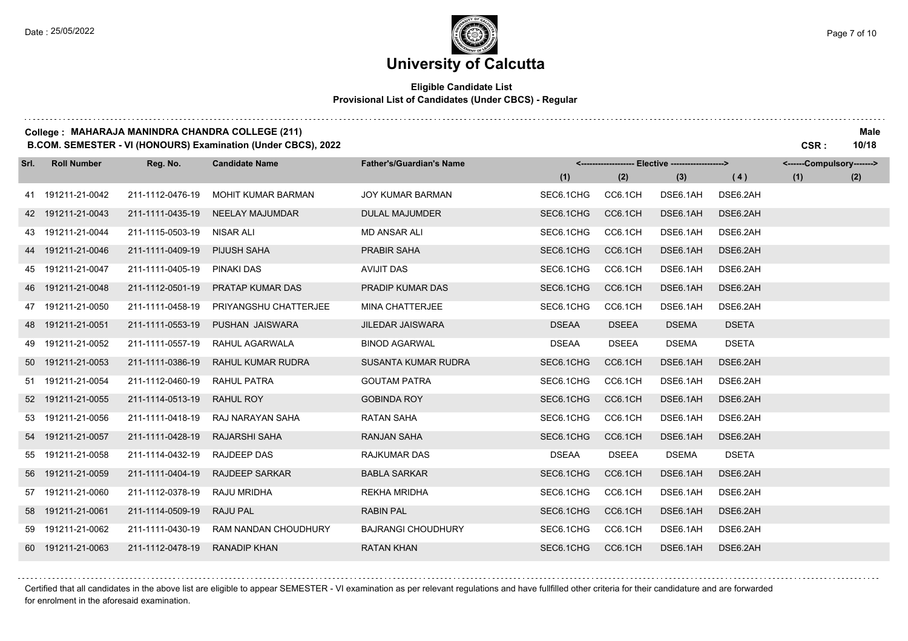#### **Eligible Candidate List Provisional List of Candidates (Under CBCS) - Regular**

#### **College : MAHARAJA MANINDRA CHANDRA COLLEGE (211) Male**

**B.COM. SEMESTER - VI (HONOURS) Examination (Under CBCS), 2022 CSR : 10/18**

| Srl. | <b>Roll Number</b> | Reg. No.         | <b>Candidate Name</b>     | <b>Father's/Guardian's Name</b> |              |              | <------------------- Elective -------------------> |              | <------Compulsory-------> |     |
|------|--------------------|------------------|---------------------------|---------------------------------|--------------|--------------|----------------------------------------------------|--------------|---------------------------|-----|
|      |                    |                  |                           |                                 | (1)          | (2)          | (3)                                                | (4)          | (1)                       | (2) |
|      | 41 191211-21-0042  | 211-1112-0476-19 | <b>MOHIT KUMAR BARMAN</b> | <b>JOY KUMAR BARMAN</b>         | SEC6.1CHG    | CC6.1CH      | DSE6.1AH                                           | DSE6.2AH     |                           |     |
|      | 42 191211-21-0043  | 211-1111-0435-19 | <b>NEELAY MAJUMDAR</b>    | <b>DULAL MAJUMDER</b>           | SEC6.1CHG    | CC6.1CH      | DSE6.1AH                                           | DSE6.2AH     |                           |     |
|      | 43 191211-21-0044  | 211-1115-0503-19 | NISAR ALI                 | <b>MD ANSAR ALI</b>             | SEC6.1CHG    | CC6.1CH      | DSE6.1AH                                           | DSE6.2AH     |                           |     |
|      | 44 191211-21-0046  | 211-1111-0409-19 | PIJUSH SAHA               | PRABIR SAHA                     | SEC6.1CHG    | CC6.1CH      | DSE6.1AH                                           | DSE6.2AH     |                           |     |
|      | 45 191211-21-0047  | 211-1111-0405-19 | <b>PINAKI DAS</b>         | <b>AVIJIT DAS</b>               | SEC6.1CHG    | CC6.1CH      | DSE6.1AH                                           | DSE6.2AH     |                           |     |
|      | 46 191211-21-0048  | 211-1112-0501-19 | PRATAP KUMAR DAS          | PRADIP KUMAR DAS                | SEC6.1CHG    | CC6.1CH      | DSE6.1AH                                           | DSE6.2AH     |                           |     |
|      | 47 191211-21-0050  | 211-1111-0458-19 | PRIYANGSHU CHATTERJEE     | <b>MINA CHATTERJEE</b>          | SEC6.1CHG    | CC6.1CH      | DSE6.1AH                                           | DSE6.2AH     |                           |     |
|      | 48 191211-21-0051  | 211-1111-0553-19 | PUSHAN JAISWARA           | <b>JILEDAR JAISWARA</b>         | <b>DSEAA</b> | <b>DSEEA</b> | <b>DSEMA</b>                                       | <b>DSETA</b> |                           |     |
|      | 49 191211-21-0052  | 211-1111-0557-19 | RAHUL AGARWALA            | <b>BINOD AGARWAL</b>            | <b>DSEAA</b> | <b>DSEEA</b> | <b>DSEMA</b>                                       | <b>DSETA</b> |                           |     |
|      | 50 191211-21-0053  | 211-1111-0386-19 | RAHUL KUMAR RUDRA         | SUSANTA KUMAR RUDRA             | SEC6.1CHG    | CC6.1CH      | DSE6.1AH                                           | DSE6.2AH     |                           |     |
|      | 51 191211-21-0054  | 211-1112-0460-19 | RAHUL PATRA               | <b>GOUTAM PATRA</b>             | SEC6.1CHG    | CC6.1CH      | DSE6.1AH                                           | DSE6.2AH     |                           |     |
|      | 52 191211-21-0055  | 211-1114-0513-19 | RAHUL ROY                 | <b>GOBINDA ROY</b>              | SEC6.1CHG    | CC6.1CH      | DSE6.1AH                                           | DSE6.2AH     |                           |     |
|      | 53 191211-21-0056  | 211-1111-0418-19 | RAJ NARAYAN SAHA          | <b>RATAN SAHA</b>               | SEC6.1CHG    | CC6.1CH      | DSE6.1AH                                           | DSE6.2AH     |                           |     |
|      | 54 191211-21-0057  | 211-1111-0428-19 | <b>RAJARSHI SAHA</b>      | <b>RANJAN SAHA</b>              | SEC6.1CHG    | CC6.1CH      | DSE6.1AH                                           | DSE6.2AH     |                           |     |
|      | 55 191211-21-0058  | 211-1114-0432-19 | <b>RAJDEEP DAS</b>        | <b>RAJKUMAR DAS</b>             | <b>DSEAA</b> | <b>DSEEA</b> | <b>DSEMA</b>                                       | <b>DSETA</b> |                           |     |
|      | 56 191211-21-0059  | 211-1111-0404-19 | <b>RAJDEEP SARKAR</b>     | <b>BABLA SARKAR</b>             | SEC6.1CHG    | CC6.1CH      | DSE6.1AH                                           | DSE6.2AH     |                           |     |
|      | 57 191211-21-0060  | 211-1112-0378-19 | RAJU MRIDHA               | <b>REKHA MRIDHA</b>             | SEC6.1CHG    | CC6.1CH      | DSE6.1AH                                           | DSE6.2AH     |                           |     |
|      | 58 191211-21-0061  | 211-1114-0509-19 | RAJU PAL                  | <b>RABIN PAL</b>                | SEC6.1CHG    | CC6.1CH      | DSE6.1AH                                           | DSE6.2AH     |                           |     |
|      | 59 191211-21-0062  | 211-1111-0430-19 | RAM NANDAN CHOUDHURY      | <b>BAJRANGI CHOUDHURY</b>       | SEC6.1CHG    | CC6.1CH      | DSE6.1AH                                           | DSE6.2AH     |                           |     |
|      | 60 191211-21-0063  | 211-1112-0478-19 | <b>RANADIP KHAN</b>       | <b>RATAN KHAN</b>               | SEC6.1CHG    | CC6.1CH      | DSE6.1AH                                           | DSE6.2AH     |                           |     |

Certified that all candidates in the above list are eligible to appear SEMESTER - VI examination as per relevant regulations and have fullfilled other criteria for their candidature and are forwarded for enrolment in the aforesaid examination.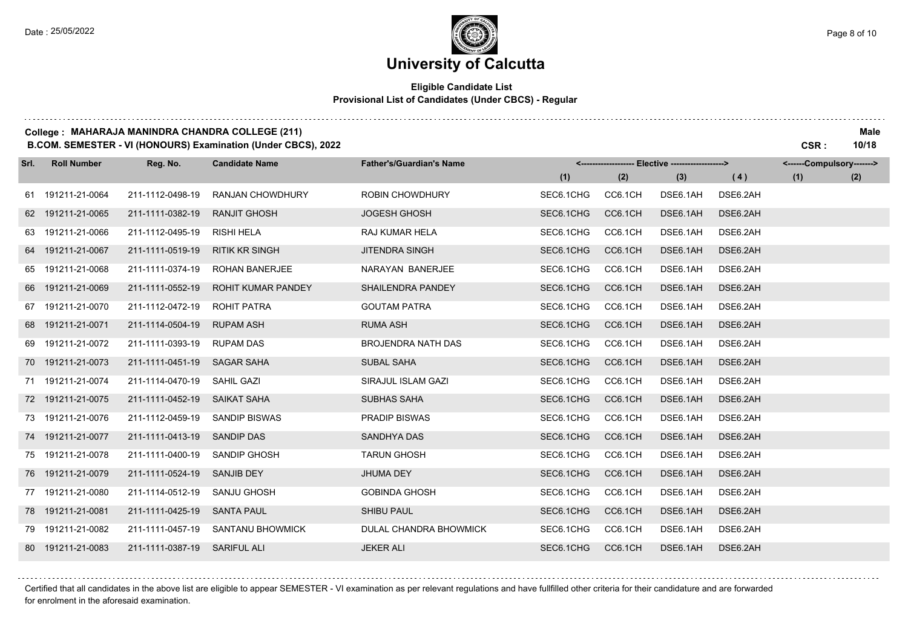#### **Eligible Candidate List Provisional List of Candidates (Under CBCS) - Regular**

#### **College : MAHARAJA MANINDRA CHANDRA COLLEGE (211) Male**

**B.COM. SEMESTER - VI (HONOURS) Examination (Under CBCS), 2022 CSR : 10/18**

| Srl. | <b>Roll Number</b> | Reg. No.                     | <b>Candidate Name</b>     | <b>Father's/Guardian's Name</b> |           |         | <-------------------- Elective ------------------> |          | <------Compulsory-------> |     |
|------|--------------------|------------------------------|---------------------------|---------------------------------|-----------|---------|----------------------------------------------------|----------|---------------------------|-----|
|      |                    |                              |                           |                                 | (1)       | (2)     | (3)                                                | (4)      | (1)                       | (2) |
|      | 61 191211-21-0064  | 211-1112-0498-19             | <b>RANJAN CHOWDHURY</b>   | <b>ROBIN CHOWDHURY</b>          | SEC6.1CHG | CC6.1CH | DSE6.1AH                                           | DSE6.2AH |                           |     |
|      | 62 191211-21-0065  | 211-1111-0382-19             | <b>RANJIT GHOSH</b>       | <b>JOGESH GHOSH</b>             | SEC6.1CHG | CC6.1CH | DSE6.1AH                                           | DSE6.2AH |                           |     |
|      | 63 191211-21-0066  | 211-1112-0495-19             | <b>RISHI HELA</b>         | RAJ KUMAR HELA                  | SEC6.1CHG | CC6.1CH | DSE6.1AH                                           | DSE6.2AH |                           |     |
|      | 64 191211-21-0067  | 211-1111-0519-19             | <b>RITIK KR SINGH</b>     | <b>JITENDRA SINGH</b>           | SEC6.1CHG | CC6.1CH | DSE6.1AH                                           | DSE6.2AH |                           |     |
|      | 65 191211-21-0068  | 211-1111-0374-19             | <b>ROHAN BANERJEE</b>     | NARAYAN BANERJEE                | SEC6.1CHG | CC6.1CH | DSE6.1AH                                           | DSE6.2AH |                           |     |
|      | 66 191211-21-0069  | 211-1111-0552-19             | <b>ROHIT KUMAR PANDEY</b> | <b>SHAILENDRA PANDEY</b>        | SEC6.1CHG | CC6.1CH | DSE6.1AH                                           | DSE6.2AH |                           |     |
|      | 67 191211-21-0070  | 211-1112-0472-19             | ROHIT PATRA               | <b>GOUTAM PATRA</b>             | SEC6.1CHG | CC6.1CH | DSE6.1AH                                           | DSE6.2AH |                           |     |
|      | 68 191211-21-0071  | 211-1114-0504-19             | <b>RUPAM ASH</b>          | <b>RUMA ASH</b>                 | SEC6.1CHG | CC6.1CH | DSE6.1AH                                           | DSE6.2AH |                           |     |
|      | 69 191211-21-0072  | 211-1111-0393-19             | <b>RUPAM DAS</b>          | <b>BROJENDRA NATH DAS</b>       | SEC6.1CHG | CC6.1CH | DSE6.1AH                                           | DSE6.2AH |                           |     |
|      | 70 191211-21-0073  | 211-1111-0451-19             | <b>SAGAR SAHA</b>         | <b>SUBAL SAHA</b>               | SEC6.1CHG | CC6.1CH | DSE6.1AH                                           | DSE6.2AH |                           |     |
|      | 71 191211-21-0074  | 211-1114-0470-19             | SAHIL GAZI                | SIRAJUL ISLAM GAZI              | SEC6.1CHG | CC6.1CH | DSE6.1AH                                           | DSE6.2AH |                           |     |
|      | 72 191211-21-0075  | 211-1111-0452-19             | SAIKAT SAHA               | SUBHAS SAHA                     | SEC6.1CHG | CC6.1CH | DSE6.1AH                                           | DSE6.2AH |                           |     |
|      | 73 191211-21-0076  | 211-1112-0459-19             | <b>SANDIP BISWAS</b>      | <b>PRADIP BISWAS</b>            | SEC6.1CHG | CC6.1CH | DSE6.1AH                                           | DSE6.2AH |                           |     |
|      | 74 191211-21-0077  | 211-1111-0413-19             | <b>SANDIP DAS</b>         | <b>SANDHYA DAS</b>              | SEC6.1CHG | CC6.1CH | DSE6.1AH                                           | DSE6.2AH |                           |     |
|      | 75 191211-21-0078  | 211-1111-0400-19             | SANDIP GHOSH              | <b>TARUN GHOSH</b>              | SEC6.1CHG | CC6.1CH | DSE6.1AH                                           | DSE6.2AH |                           |     |
|      | 76 191211-21-0079  | 211-1111-0524-19             | <b>SANJIB DEY</b>         | JHUMA DEY                       | SEC6.1CHG | CC6.1CH | DSE6.1AH                                           | DSE6.2AH |                           |     |
|      | 77 191211-21-0080  | 211-1114-0512-19             | SANJU GHOSH               | <b>GOBINDA GHOSH</b>            | SEC6.1CHG | CC6.1CH | DSE6.1AH                                           | DSE6.2AH |                           |     |
|      | 78 191211-21-0081  | 211-1111-0425-19             | <b>SANTA PAUL</b>         | <b>SHIBU PAUL</b>               | SEC6.1CHG | CC6.1CH | DSE6.1AH                                           | DSE6.2AH |                           |     |
|      | 79 191211-21-0082  | 211-1111-0457-19             | SANTANU BHOWMICK          | DULAL CHANDRA BHOWMICK          | SEC6.1CHG | CC6.1CH | DSE6.1AH                                           | DSE6.2AH |                           |     |
|      | 80 191211-21-0083  | 211-1111-0387-19 SARIFUL ALI |                           | <b>JEKER ALI</b>                | SEC6.1CHG | CC6.1CH | DSE6.1AH                                           | DSE6.2AH |                           |     |

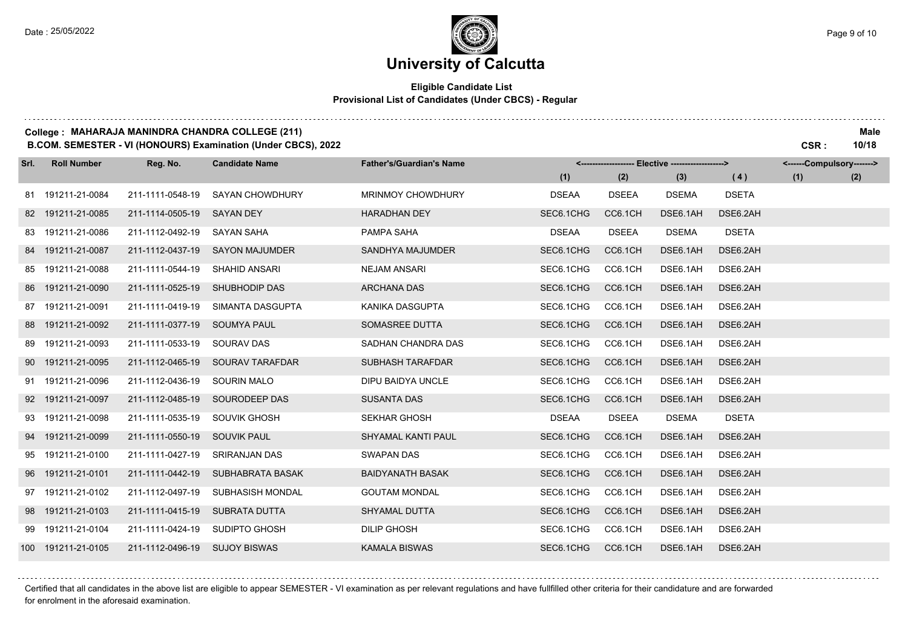#### **Eligible Candidate List Provisional List of Candidates (Under CBCS) - Regular**

#### **College : MAHARAJA MANINDRA CHANDRA COLLEGE (211) Male**

**B.COM. SEMESTER - VI (HONOURS) Examination (Under CBCS), 2022 CSR : 10/18**

| Srl. | <b>Roll Number</b> | Reg. No.                      | <b>Candidate Name</b>   | <b>Father's/Guardian's Name</b> |              |              | <------------------- Elective -------------------> |              | <------Compulsory-------> |     |
|------|--------------------|-------------------------------|-------------------------|---------------------------------|--------------|--------------|----------------------------------------------------|--------------|---------------------------|-----|
|      |                    |                               |                         |                                 | (1)          | (2)          | (3)                                                | (4)          | (1)                       | (2) |
|      | 81 191211-21-0084  | 211-1111-0548-19              | <b>SAYAN CHOWDHURY</b>  | <b>MRINMOY CHOWDHURY</b>        | <b>DSEAA</b> | <b>DSEEA</b> | <b>DSEMA</b>                                       | <b>DSETA</b> |                           |     |
|      | 82 191211-21-0085  | 211-1114-0505-19              | <b>SAYAN DEY</b>        | <b>HARADHAN DEY</b>             | SEC6.1CHG    | CC6.1CH      | DSE6.1AH                                           | DSE6.2AH     |                           |     |
|      | 83 191211-21-0086  | 211-1112-0492-19              | SAYAN SAHA              | PAMPA SAHA                      | <b>DSEAA</b> | <b>DSEEA</b> | <b>DSEMA</b>                                       | <b>DSETA</b> |                           |     |
|      | 84 191211-21-0087  | 211-1112-0437-19              | <b>SAYON MAJUMDER</b>   | SANDHYA MAJUMDER                | SEC6.1CHG    | CC6.1CH      | DSE6.1AH                                           | DSE6.2AH     |                           |     |
|      | 85 191211-21-0088  | 211-1111-0544-19              | SHAHID ANSARI           | <b>NEJAM ANSARI</b>             | SEC6.1CHG    | CC6.1CH      | DSE6.1AH                                           | DSE6.2AH     |                           |     |
|      | 86 191211-21-0090  | 211-1111-0525-19              | <b>SHUBHODIP DAS</b>    | <b>ARCHANA DAS</b>              | SEC6.1CHG    | CC6.1CH      | DSE6.1AH                                           | DSE6.2AH     |                           |     |
|      | 87 191211-21-0091  | 211-1111-0419-19              | SIMANTA DASGUPTA        | KANIKA DASGUPTA                 | SEC6.1CHG    | CC6.1CH      | DSE6.1AH                                           | DSE6.2AH     |                           |     |
|      | 88 191211-21-0092  | 211-1111-0377-19              | <b>SOUMYA PAUL</b>      | SOMASREE DUTTA                  | SEC6.1CHG    | CC6.1CH      | DSE6.1AH                                           | DSE6.2AH     |                           |     |
|      | 89 191211-21-0093  | 211-1111-0533-19              | <b>SOURAV DAS</b>       | SADHAN CHANDRA DAS              | SEC6.1CHG    | CC6.1CH      | DSE6.1AH                                           | DSE6.2AH     |                           |     |
|      | 90 191211-21-0095  | 211-1112-0465-19              | <b>SOURAV TARAFDAR</b>  | <b>SUBHASH TARAFDAR</b>         | SEC6.1CHG    | CC6.1CH      | DSE6.1AH                                           | DSE6.2AH     |                           |     |
|      | 91 191211-21-0096  | 211-1112-0436-19              | <b>SOURIN MALO</b>      | DIPU BAIDYA UNCLE               | SEC6.1CHG    | CC6.1CH      | DSE6.1AH                                           | DSE6.2AH     |                           |     |
|      | 92 191211-21-0097  | 211-1112-0485-19              | SOURODEEP DAS           | <b>SUSANTA DAS</b>              | SEC6.1CHG    | CC6.1CH      | DSE6.1AH                                           | DSE6.2AH     |                           |     |
|      | 93 191211-21-0098  | 211-1111-0535-19              | SOUVIK GHOSH            | <b>SEKHAR GHOSH</b>             | <b>DSEAA</b> | <b>DSEEA</b> | <b>DSEMA</b>                                       | <b>DSETA</b> |                           |     |
|      | 94 191211-21-0099  | 211-1111-0550-19              | <b>SOUVIK PAUL</b>      | <b>SHYAMAL KANTI PAUL</b>       | SEC6.1CHG    | CC6.1CH      | DSE6.1AH                                           | DSE6.2AH     |                           |     |
|      | 95 191211-21-0100  | 211-1111-0427-19              | <b>SRIRANJAN DAS</b>    | <b>SWAPAN DAS</b>               | SEC6.1CHG    | CC6.1CH      | DSE6.1AH                                           | DSE6.2AH     |                           |     |
|      | 96 191211-21-0101  | 211-1111-0442-19              | <b>SUBHABRATA BASAK</b> | <b>BAIDYANATH BASAK</b>         | SEC6.1CHG    | CC6.1CH      | DSE6.1AH                                           | DSE6.2AH     |                           |     |
|      | 97 191211-21-0102  | 211-1112-0497-19              | SUBHASISH MONDAL        | <b>GOUTAM MONDAL</b>            | SEC6.1CHG    | CC6.1CH      | DSE6.1AH                                           | DSE6.2AH     |                           |     |
|      | 98 191211-21-0103  | 211-1111-0415-19              | <b>SUBRATA DUTTA</b>    | SHYAMAL DUTTA                   | SEC6.1CHG    | CC6.1CH      | DSE6.1AH                                           | DSE6.2AH     |                           |     |
|      | 99 191211-21-0104  | 211-1111-0424-19              | SUDIPTO GHOSH           | <b>DILIP GHOSH</b>              | SEC6.1CHG    | CC6.1CH      | DSE6.1AH                                           | DSE6.2AH     |                           |     |
|      | 100 191211-21-0105 | 211-1112-0496-19 SUJOY BISWAS |                         | <b>KAMALA BISWAS</b>            | SEC6.1CHG    | CC6.1CH      | DSE6.1AH                                           | DSE6.2AH     |                           |     |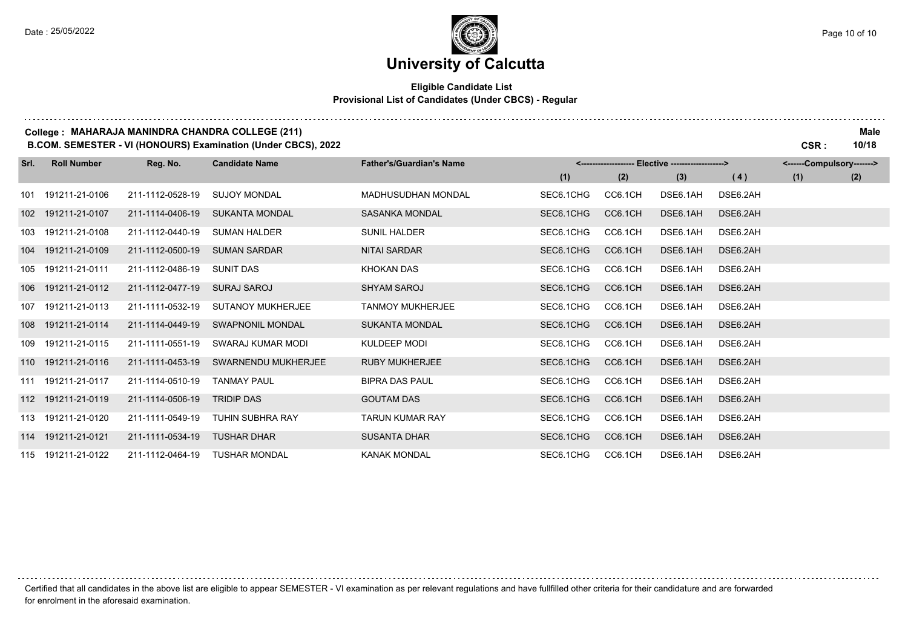and a straight

### **University of Calcutta**

#### **Eligible Candidate List Provisional List of Candidates (Under CBCS) - Regular**

#### **College : MAHARAJA MANINDRA CHANDRA COLLEGE (211) Male**

**B.COM. SEMESTER - VI (HONOURS) Examination (Under CBCS), 2022 CSR : 10/18**

| Srl.             | <b>Roll Number</b> | Reg. No.         | <b>Candidate Name</b>   | <b>Father's/Guardian's Name</b> | <-------------------- Elective -------------------> |         |          |          | <------Compulsory-------> |     |
|------------------|--------------------|------------------|-------------------------|---------------------------------|-----------------------------------------------------|---------|----------|----------|---------------------------|-----|
|                  |                    |                  |                         |                                 | (1)                                                 | (2)     | (3)      | (4)      | (1)                       | (2) |
| 101              | 191211-21-0106     | 211-1112-0528-19 | <b>SUJOY MONDAL</b>     | <b>MADHUSUDHAN MONDAL</b>       | SEC6.1CHG                                           | CC6.1CH | DSE6.1AH | DSE6.2AH |                           |     |
| 102 <sub>1</sub> | 191211-21-0107     | 211-1114-0406-19 | <b>SUKANTA MONDAL</b>   | SASANKA MONDAL                  | SEC6.1CHG                                           | CC6.1CH | DSE6.1AH | DSE6.2AH |                           |     |
| 103              | 191211-21-0108     | 211-1112-0440-19 | <b>SUMAN HALDER</b>     | <b>SUNIL HALDER</b>             | SEC6.1CHG                                           | CC6.1CH | DSE6.1AH | DSE6.2AH |                           |     |
| 104              | 191211-21-0109     | 211-1112-0500-19 | <b>SUMAN SARDAR</b>     | <b>NITAI SARDAR</b>             | SEC6.1CHG                                           | CC6.1CH | DSE6.1AH | DSE6.2AH |                           |     |
|                  | 105 191211-21-0111 | 211-1112-0486-19 | <b>SUNIT DAS</b>        | KHOKAN DAS                      | SEC6.1CHG                                           | CC6.1CH | DSE6.1AH | DSE6.2AH |                           |     |
| 106              | 191211-21-0112     | 211-1112-0477-19 | <b>SURAJ SAROJ</b>      | <b>SHYAM SAROJ</b>              | SEC6.1CHG                                           | CC6.1CH | DSE6.1AH | DSE6.2AH |                           |     |
| 107              | 191211-21-0113     | 211-1111-0532-19 | SUTANOY MUKHERJEE       | <b>TANMOY MUKHERJEE</b>         | SEC6.1CHG                                           | CC6.1CH | DSE6.1AH | DSE6.2AH |                           |     |
|                  | 108 191211-21-0114 | 211-1114-0449-19 | <b>SWAPNONIL MONDAL</b> | <b>SUKANTA MONDAL</b>           | SEC6.1CHG                                           | CC6.1CH | DSE6.1AH | DSE6.2AH |                           |     |
| 109              | 191211-21-0115     | 211-1111-0551-19 | SWARAJ KUMAR MODI       | KULDEEP MODI                    | SEC6.1CHG                                           | CC6.1CH | DSE6.1AH | DSE6.2AH |                           |     |
|                  | 110 191211-21-0116 | 211-1111-0453-19 | SWARNENDU MUKHERJEE     | <b>RUBY MUKHERJEE</b>           | SEC6.1CHG                                           | CC6.1CH | DSE6.1AH | DSE6.2AH |                           |     |
|                  | 111 191211-21-0117 | 211-1114-0510-19 | <b>TANMAY PAUL</b>      | <b>BIPRA DAS PAUL</b>           | SEC6.1CHG                                           | CC6.1CH | DSE6.1AH | DSE6.2AH |                           |     |
|                  | 112 191211-21-0119 | 211-1114-0506-19 | <b>TRIDIP DAS</b>       | <b>GOUTAM DAS</b>               | SEC6.1CHG                                           | CC6.1CH | DSE6.1AH | DSE6.2AH |                           |     |
| 113              | 191211-21-0120     | 211-1111-0549-19 | <b>TUHIN SUBHRA RAY</b> | <b>TARUN KUMAR RAY</b>          | SEC6.1CHG                                           | CC6.1CH | DSE6.1AH | DSE6.2AH |                           |     |
|                  | 114 191211-21-0121 | 211-1111-0534-19 | <b>TUSHAR DHAR</b>      | <b>SUSANTA DHAR</b>             | SEC6.1CHG                                           | CC6.1CH | DSE6.1AH | DSE6.2AH |                           |     |
|                  | 115 191211-21-0122 | 211-1112-0464-19 | <b>TUSHAR MONDAL</b>    | <b>KANAK MONDAL</b>             | SEC6.1CHG                                           | CC6.1CH | DSE6.1AH | DSE6.2AH |                           |     |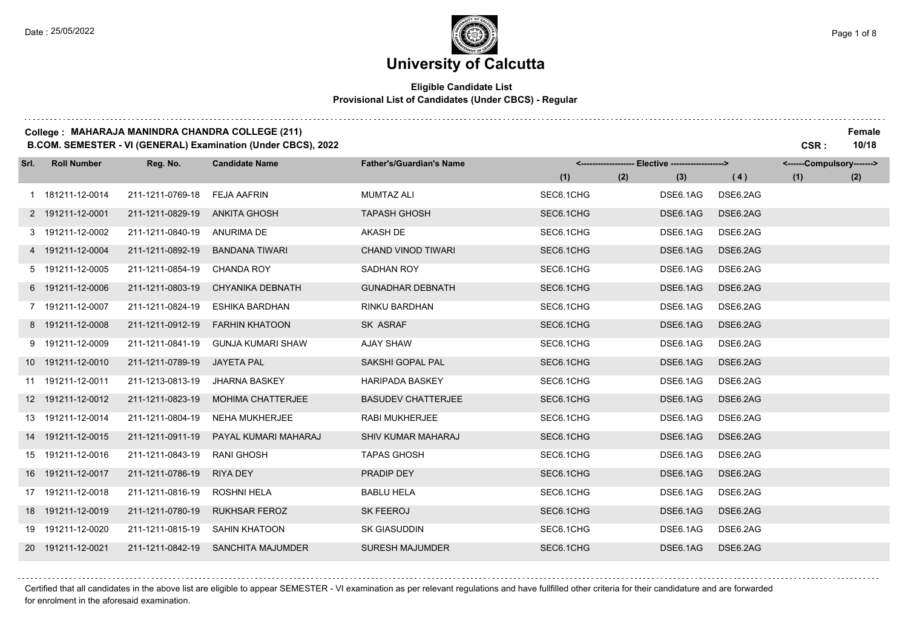. . . . . . . .

### **University of Calcutta**

#### **Eligible Candidate List Provisional List of Candidates (Under CBCS) - Regular**

#### **College : MAHARAJA MANINDRA CHANDRA COLLEGE (211) Female**

**B.COM. SEMESTER - VI (GENERAL) Examination (Under CBCS), 2022 CSR : 10/18**

| Srl. | <b>Roll Number</b> | Reg. No.         | <b>Candidate Name</b>    | <b>Father's/Guardian's Name</b> |            | <------------------- Elective ------------------> |          | <------Compulsory-------> |     |
|------|--------------------|------------------|--------------------------|---------------------------------|------------|---------------------------------------------------|----------|---------------------------|-----|
|      |                    |                  |                          |                                 | (1)<br>(2) | (3)                                               | (4)      | (1)                       | (2) |
|      | 1 181211-12-0014   | 211-1211-0769-18 | <b>FEJA AAFRIN</b>       | <b>MUMTAZ ALI</b>               | SEC6.1CHG  | DSE6.1AG                                          | DSE6.2AG |                           |     |
|      | 2 191211-12-0001   | 211-1211-0829-19 | <b>ANKITA GHOSH</b>      | <b>TAPASH GHOSH</b>             | SEC6.1CHG  | DSE6.1AG                                          | DSE6.2AG |                           |     |
|      | 3 191211-12-0002   | 211-1211-0840-19 | ANURIMA DE               | <b>AKASH DE</b>                 | SEC6.1CHG  | DSE6.1AG                                          | DSE6.2AG |                           |     |
|      | 4 191211-12-0004   | 211-1211-0892-19 | <b>BANDANA TIWARI</b>    | <b>CHAND VINOD TIWARI</b>       | SEC6.1CHG  | DSE6.1AG                                          | DSE6.2AG |                           |     |
|      | 5 191211-12-0005   | 211-1211-0854-19 | <b>CHANDA ROY</b>        | SADHAN ROY                      | SEC6.1CHG  | DSE6.1AG                                          | DSE6.2AG |                           |     |
|      | 6 191211-12-0006   | 211-1211-0803-19 | <b>CHYANIKA DEBNATH</b>  | <b>GUNADHAR DEBNATH</b>         | SEC6.1CHG  | DSE6.1AG                                          | DSE6.2AG |                           |     |
|      | 7 191211-12-0007   | 211-1211-0824-19 | <b>ESHIKA BARDHAN</b>    | RINKU BARDHAN                   | SEC6.1CHG  | DSE6.1AG                                          | DSE6.2AG |                           |     |
|      | 8 191211-12-0008   | 211-1211-0912-19 | <b>FARHIN KHATOON</b>    | SK ASRAF                        | SEC6.1CHG  | DSE6.1AG                                          | DSE6.2AG |                           |     |
|      | 9 191211-12-0009   | 211-1211-0841-19 | <b>GUNJA KUMARI SHAW</b> | <b>AJAY SHAW</b>                | SEC6.1CHG  | DSE6.1AG                                          | DSE6.2AG |                           |     |
|      | 10 191211-12-0010  | 211-1211-0789-19 | <b>JAYETA PAL</b>        | SAKSHI GOPAL PAL                | SEC6.1CHG  | DSE6.1AG                                          | DSE6.2AG |                           |     |
|      | 11 191211-12-0011  | 211-1213-0813-19 | <b>JHARNA BASKEY</b>     | <b>HARIPADA BASKEY</b>          | SEC6.1CHG  | DSE6.1AG                                          | DSE6.2AG |                           |     |
|      | 12 191211-12-0012  | 211-1211-0823-19 | <b>MOHIMA CHATTERJEE</b> | <b>BASUDEV CHATTERJEE</b>       | SEC6.1CHG  | DSE6.1AG                                          | DSE6.2AG |                           |     |
|      | 13 191211-12-0014  | 211-1211-0804-19 | <b>NEHA MUKHERJEE</b>    | <b>RABI MUKHERJEE</b>           | SEC6.1CHG  | DSE6.1AG                                          | DSE6.2AG |                           |     |
|      | 14 191211-12-0015  | 211-1211-0911-19 | PAYAL KUMARI MAHARAJ     | <b>SHIV KUMAR MAHARAJ</b>       | SEC6.1CHG  | DSE6.1AG                                          | DSE6.2AG |                           |     |
|      | 15 191211-12-0016  | 211-1211-0843-19 | <b>RANI GHOSH</b>        | <b>TAPAS GHOSH</b>              | SEC6.1CHG  | DSE6.1AG                                          | DSE6.2AG |                           |     |
|      | 16 191211-12-0017  | 211-1211-0786-19 | <b>RIYA DEY</b>          | PRADIP DEY                      | SEC6.1CHG  | DSE6.1AG                                          | DSE6.2AG |                           |     |
|      | 17 191211-12-0018  | 211-1211-0816-19 | <b>ROSHNI HELA</b>       | <b>BABLU HELA</b>               | SEC6.1CHG  | DSE6.1AG                                          | DSE6.2AG |                           |     |
|      | 18 191211-12-0019  | 211-1211-0780-19 | <b>RUKHSAR FEROZ</b>     | <b>SK FEEROJ</b>                | SEC6.1CHG  | DSE6.1AG                                          | DSE6.2AG |                           |     |
|      | 19 191211-12-0020  | 211-1211-0815-19 | <b>SAHIN KHATOON</b>     | <b>SK GIASUDDIN</b>             | SEC6.1CHG  | DSE6.1AG                                          | DSE6.2AG |                           |     |
|      | 20 191211-12-0021  | 211-1211-0842-19 | <b>SANCHITA MAJUMDER</b> | <b>SURESH MAJUMDER</b>          | SEC6.1CHG  | DSE6.1AG                                          | DSE6.2AG |                           |     |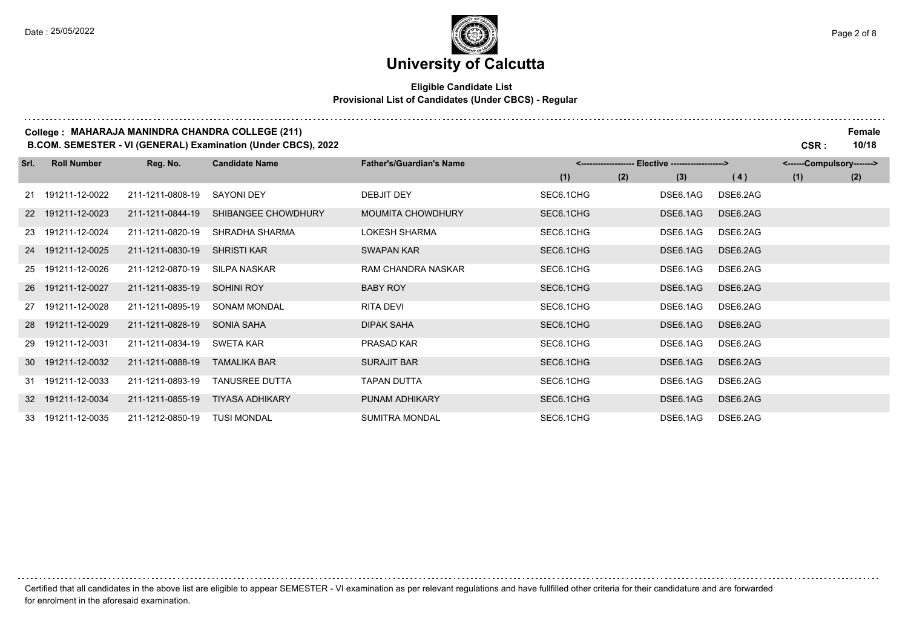and a straight

. . . . . . . .

### **University of Calcutta**

#### **Eligible Candidate List Provisional List of Candidates (Under CBCS) - Regular**

#### **College : MAHARAJA MANINDRA CHANDRA COLLEGE (211) Female**

**B.COM. SEMESTER - VI (GENERAL) Examination (Under CBCS), 2022 CSR : 10/18**

| Srl. | <b>Roll Number</b> | Reg. No.         | <b>Candidate Name</b> | <b>Father's/Guardian's Name</b> | <-------------------- Elective -------------------> |     |          |          | <------Compulsory-------> |     |
|------|--------------------|------------------|-----------------------|---------------------------------|-----------------------------------------------------|-----|----------|----------|---------------------------|-----|
|      |                    |                  |                       |                                 | (1)                                                 | (2) | (3)      | (4)      | (1)                       | (2) |
|      | 21 191211-12-0022  | 211-1211-0808-19 | <b>SAYONI DEY</b>     | DEBJIT DEY                      | SEC6.1CHG                                           |     | DSE6.1AG | DSE6.2AG |                           |     |
|      | 22 191211-12-0023  | 211-1211-0844-19 | SHIBANGEE CHOWDHURY   | <b>MOUMITA CHOWDHURY</b>        | SEC6.1CHG                                           |     | DSE6.1AG | DSE6.2AG |                           |     |
|      | 23 191211-12-0024  | 211-1211-0820-19 | SHRADHA SHARMA        | <b>LOKESH SHARMA</b>            | SEC6.1CHG                                           |     | DSE6.1AG | DSE6.2AG |                           |     |
|      | 24 191211-12-0025  | 211-1211-0830-19 | <b>SHRISTI KAR</b>    | <b>SWAPAN KAR</b>               | SEC6.1CHG                                           |     | DSE6.1AG | DSE6.2AG |                           |     |
|      | 25 191211-12-0026  | 211-1212-0870-19 | SILPA NASKAR          | <b>RAM CHANDRA NASKAR</b>       | SEC6.1CHG                                           |     | DSE6.1AG | DSE6.2AG |                           |     |
|      | 26 191211-12-0027  | 211-1211-0835-19 | <b>SOHINI ROY</b>     | <b>BABY ROY</b>                 | SEC6.1CHG                                           |     | DSE6.1AG | DSE6.2AG |                           |     |
|      | 27 191211-12-0028  | 211-1211-0895-19 | <b>SONAM MONDAL</b>   | RITA DEVI                       | SEC6.1CHG                                           |     | DSE6.1AG | DSE6.2AG |                           |     |
|      | 28 191211-12-0029  | 211-1211-0828-19 | SONIA SAHA            | DIPAK SAHA                      | SEC6.1CHG                                           |     | DSE6.1AG | DSE6.2AG |                           |     |
|      | 29 191211-12-0031  | 211-1211-0834-19 | SWETA KAR             | PRASAD KAR                      | SEC6.1CHG                                           |     | DSE6.1AG | DSE6.2AG |                           |     |
|      | 30 191211-12-0032  | 211-1211-0888-19 | TAMALIKA BAR          | <b>SURAJIT BAR</b>              | SEC6.1CHG                                           |     | DSE6.1AG | DSE6.2AG |                           |     |
|      | 31 191211-12-0033  | 211-1211-0893-19 | TANUSREE DUTTA        | TAPAN DUTTA                     | SEC6.1CHG                                           |     | DSE6.1AG | DSE6.2AG |                           |     |
|      | 32 191211-12-0034  | 211-1211-0855-19 | TIYASA ADHIKARY       | PUNAM ADHIKARY                  | SEC6.1CHG                                           |     | DSE6.1AG | DSE6.2AG |                           |     |
|      | 33 191211-12-0035  | 211-1212-0850-19 | TUSI MONDAL           | <b>SUMITRA MONDAL</b>           | SEC6.1CHG                                           |     | DSE6.1AG | DSE6.2AG |                           |     |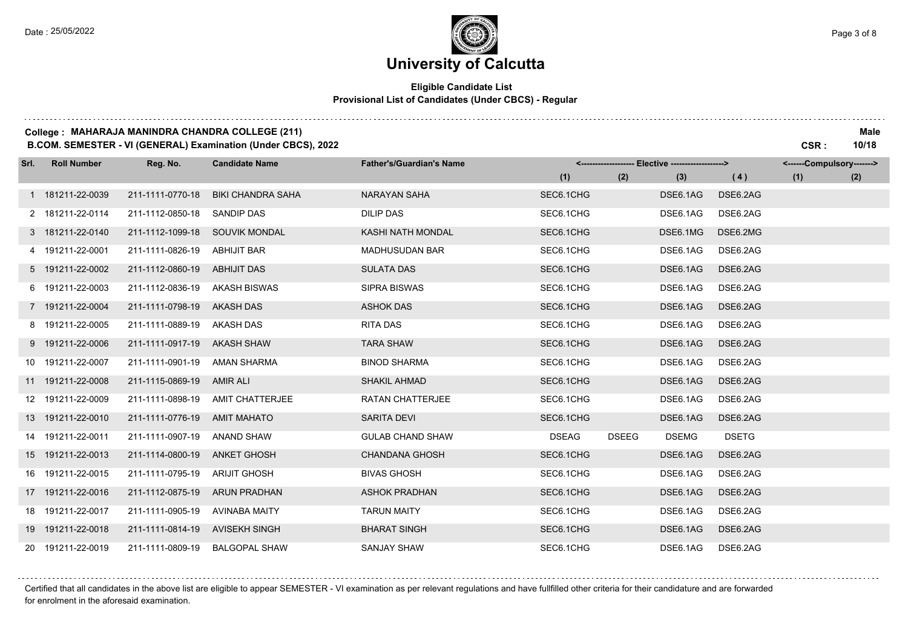## **University of Calcutta**

#### **Eligible Candidate List Provisional List of Candidates (Under CBCS) - Regular**

#### **College : MAHARAJA MANINDRA CHANDRA COLLEGE (211) Male**

**B.COM. SEMESTER - VI (GENERAL) Examination (Under CBCS), 2022 CSR : 10/18**

| Srl. | <b>Roll Number</b> | Reg. No.         | <b>Candidate Name</b>    | <b>Father's/Guardian's Name</b> |              |              | <------------------- Elective ------------------> |              | <------Compulsory-------> |     |
|------|--------------------|------------------|--------------------------|---------------------------------|--------------|--------------|---------------------------------------------------|--------------|---------------------------|-----|
|      |                    |                  |                          |                                 | (1)          | (2)          | (3)                                               | (4)          | (1)                       | (2) |
|      | 1 181211-22-0039   | 211-1111-0770-18 | <b>BIKI CHANDRA SAHA</b> | <b>NARAYAN SAHA</b>             | SEC6.1CHG    |              | DSE6.1AG                                          | DSE6.2AG     |                           |     |
|      | 2 181211-22-0114   | 211-1112-0850-18 | <b>SANDIP DAS</b>        | <b>DILIP DAS</b>                | SEC6.1CHG    |              | DSE6.1AG                                          | DSE6.2AG     |                           |     |
|      | 3 181211-22-0140   | 211-1112-1099-18 | <b>SOUVIK MONDAL</b>     | KASHI NATH MONDAL               | SEC6.1CHG    |              | DSE6.1MG                                          | DSE6.2MG     |                           |     |
|      | 4 191211-22-0001   | 211-1111-0826-19 | <b>ABHIJIT BAR</b>       | <b>MADHUSUDAN BAR</b>           | SEC6.1CHG    |              | DSE6.1AG                                          | DSE6.2AG     |                           |     |
|      | 5 191211-22-0002   | 211-1112-0860-19 | <b>ABHIJIT DAS</b>       | <b>SULATA DAS</b>               | SEC6.1CHG    |              | DSE6.1AG                                          | DSE6.2AG     |                           |     |
|      | 6 191211-22-0003   | 211-1112-0836-19 | <b>AKASH BISWAS</b>      | <b>SIPRA BISWAS</b>             | SEC6.1CHG    |              | DSE6.1AG                                          | DSE6.2AG     |                           |     |
|      | 7 191211-22-0004   | 211-1111-0798-19 | <b>AKASH DAS</b>         | <b>ASHOK DAS</b>                | SEC6.1CHG    |              | DSE6.1AG                                          | DSE6.2AG     |                           |     |
|      | 8 191211-22-0005   | 211-1111-0889-19 | AKASH DAS                | RITA DAS                        | SEC6.1CHG    |              | DSE6.1AG                                          | DSE6.2AG     |                           |     |
|      | 9 191211-22-0006   | 211-1111-0917-19 | <b>AKASH SHAW</b>        | <b>TARA SHAW</b>                | SEC6.1CHG    |              | DSE6.1AG                                          | DSE6.2AG     |                           |     |
|      | 10 191211-22-0007  | 211-1111-0901-19 | AMAN SHARMA              | <b>BINOD SHARMA</b>             | SEC6.1CHG    |              | DSE6.1AG                                          | DSE6.2AG     |                           |     |
|      | 11 191211-22-0008  | 211-1115-0869-19 | <b>AMIR ALI</b>          | <b>SHAKIL AHMAD</b>             | SEC6.1CHG    |              | DSE6.1AG                                          | DSE6.2AG     |                           |     |
|      | 12 191211-22-0009  | 211-1111-0898-19 | AMIT CHATTERJEE          | <b>RATAN CHATTERJEE</b>         | SEC6.1CHG    |              | DSE6.1AG                                          | DSE6.2AG     |                           |     |
|      | 13 191211-22-0010  | 211-1111-0776-19 | <b>AMIT MAHATO</b>       | SARITA DEVI                     | SEC6.1CHG    |              | DSE6.1AG                                          | DSE6.2AG     |                           |     |
|      | 14 191211-22-0011  | 211-1111-0907-19 | ANAND SHAW               | <b>GULAB CHAND SHAW</b>         | <b>DSEAG</b> | <b>DSEEG</b> | <b>DSEMG</b>                                      | <b>DSETG</b> |                           |     |
|      | 15 191211-22-0013  | 211-1114-0800-19 | <b>ANKET GHOSH</b>       | <b>CHANDANA GHOSH</b>           | SEC6.1CHG    |              | DSE6.1AG                                          | DSE6.2AG     |                           |     |
|      | 16 191211-22-0015  | 211-1111-0795-19 | <b>ARIJIT GHOSH</b>      | <b>BIVAS GHOSH</b>              | SEC6.1CHG    |              | DSE6.1AG                                          | DSE6.2AG     |                           |     |
|      | 17 191211-22-0016  | 211-1112-0875-19 | <b>ARUN PRADHAN</b>      | <b>ASHOK PRADHAN</b>            | SEC6.1CHG    |              | DSE6.1AG                                          | DSE6.2AG     |                           |     |
|      | 18 191211-22-0017  | 211-1111-0905-19 | <b>AVINABA MAITY</b>     | <b>TARUN MAITY</b>              | SEC6.1CHG    |              | DSE6.1AG                                          | DSE6.2AG     |                           |     |
|      | 19 191211-22-0018  | 211-1111-0814-19 | <b>AVISEKH SINGH</b>     | <b>BHARAT SINGH</b>             | SEC6.1CHG    |              | DSE6.1AG                                          | DSE6.2AG     |                           |     |
|      | 20 191211-22-0019  | 211-1111-0809-19 | <b>BALGOPAL SHAW</b>     | <b>SANJAY SHAW</b>              | SEC6.1CHG    |              | DSE6.1AG                                          | DSE6.2AG     |                           |     |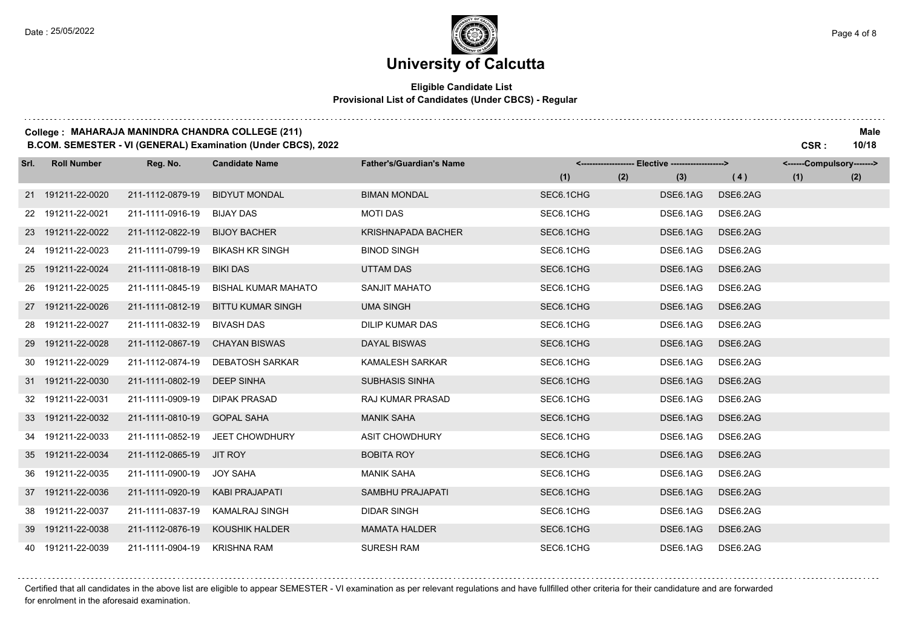## **University of Calcutta**

#### **Eligible Candidate List Provisional List of Candidates (Under CBCS) - Regular**

#### **College : MAHARAJA MANINDRA CHANDRA COLLEGE (211) Male**

**B.COM. SEMESTER - VI (GENERAL) Examination (Under CBCS), 2022 CSR : 10/18**

| Srl. | <b>Roll Number</b> | Reg. No.         | <b>Candidate Name</b>      | <b>Father's/Guardian's Name</b> |           | <------------------- Elective ------------------> |          | <------Compulsory-------> |     |
|------|--------------------|------------------|----------------------------|---------------------------------|-----------|---------------------------------------------------|----------|---------------------------|-----|
|      |                    |                  |                            |                                 | (1)       | (2)<br>(3)                                        | (4)      | (1)                       | (2) |
|      | 21 191211-22-0020  | 211-1112-0879-19 | <b>BIDYUT MONDAL</b>       | <b>BIMAN MONDAL</b>             | SEC6.1CHG | DSE6.1AG                                          | DSE6.2AG |                           |     |
|      | 22 191211-22-0021  | 211-1111-0916-19 | <b>BIJAY DAS</b>           | <b>MOTI DAS</b>                 | SEC6.1CHG | DSE6.1AG                                          | DSE6.2AG |                           |     |
|      | 23 191211-22-0022  | 211-1112-0822-19 | <b>BIJOY BACHER</b>        | <b>KRISHNAPADA BACHER</b>       | SEC6.1CHG | DSE6.1AG                                          | DSE6.2AG |                           |     |
|      | 24 191211-22-0023  | 211-1111-0799-19 | <b>BIKASH KR SINGH</b>     | <b>BINOD SINGH</b>              | SEC6.1CHG | DSE6.1AG                                          | DSE6.2AG |                           |     |
|      | 25 191211-22-0024  | 211-1111-0818-19 | <b>BIKI DAS</b>            | <b>UTTAM DAS</b>                | SEC6.1CHG | DSE6.1AG                                          | DSE6.2AG |                           |     |
|      | 26 191211-22-0025  | 211-1111-0845-19 | <b>BISHAL KUMAR MAHATO</b> | SANJIT MAHATO                   | SEC6.1CHG | DSE6.1AG                                          | DSE6.2AG |                           |     |
|      | 27 191211-22-0026  | 211-1111-0812-19 | <b>BITTU KUMAR SINGH</b>   | <b>UMA SINGH</b>                | SEC6.1CHG | DSE6.1AG                                          | DSE6.2AG |                           |     |
|      | 28 191211-22-0027  | 211-1111-0832-19 | <b>BIVASH DAS</b>          | <b>DILIP KUMAR DAS</b>          | SEC6.1CHG | DSE6.1AG                                          | DSE6.2AG |                           |     |
|      | 29 191211-22-0028  | 211-1112-0867-19 | <b>CHAYAN BISWAS</b>       | DAYAL BISWAS                    | SEC6.1CHG | DSE6.1AG                                          | DSE6.2AG |                           |     |
|      | 30 191211-22-0029  | 211-1112-0874-19 | <b>DEBATOSH SARKAR</b>     | <b>KAMALESH SARKAR</b>          | SEC6.1CHG | DSE6.1AG                                          | DSE6.2AG |                           |     |
|      | 31 191211-22-0030  | 211-1111-0802-19 | <b>DEEP SINHA</b>          | <b>SUBHASIS SINHA</b>           | SEC6.1CHG | DSE6.1AG                                          | DSE6.2AG |                           |     |
|      | 32 191211-22-0031  | 211-1111-0909-19 | DIPAK PRASAD               | <b>RAJ KUMAR PRASAD</b>         | SEC6.1CHG | DSE6.1AG                                          | DSE6.2AG |                           |     |
|      | 33 191211-22-0032  | 211-1111-0810-19 | <b>GOPAL SAHA</b>          | <b>MANIK SAHA</b>               | SEC6.1CHG | DSE6.1AG                                          | DSE6.2AG |                           |     |
|      | 34 191211-22-0033  | 211-1111-0852-19 | <b>JEET CHOWDHURY</b>      | <b>ASIT CHOWDHURY</b>           | SEC6.1CHG | DSE6.1AG                                          | DSE6.2AG |                           |     |
|      | 35 191211-22-0034  | 211-1112-0865-19 | <b>JIT ROY</b>             | <b>BOBITA ROY</b>               | SEC6.1CHG | DSE6.1AG                                          | DSE6.2AG |                           |     |
|      | 36 191211-22-0035  | 211-1111-0900-19 | <b>JOY SAHA</b>            | <b>MANIK SAHA</b>               | SEC6.1CHG | DSE6.1AG                                          | DSE6.2AG |                           |     |
|      | 37 191211-22-0036  | 211-1111-0920-19 | <b>KABI PRAJAPATI</b>      | <b>SAMBHU PRAJAPATI</b>         | SEC6.1CHG | DSE6.1AG                                          | DSE6.2AG |                           |     |
|      | 38 191211-22-0037  | 211-1111-0837-19 | <b>KAMALRAJ SINGH</b>      | <b>DIDAR SINGH</b>              | SEC6.1CHG | DSE6.1AG                                          | DSE6.2AG |                           |     |
|      | 39 191211-22-0038  | 211-1112-0876-19 | KOUSHIK HALDER             | <b>MAMATA HALDER</b>            | SEC6.1CHG | DSE6.1AG                                          | DSE6.2AG |                           |     |
|      | 40 191211-22-0039  | 211-1111-0904-19 | <b>KRISHNA RAM</b>         | <b>SURESH RAM</b>               | SEC6.1CHG | DSE6.1AG                                          | DSE6.2AG |                           |     |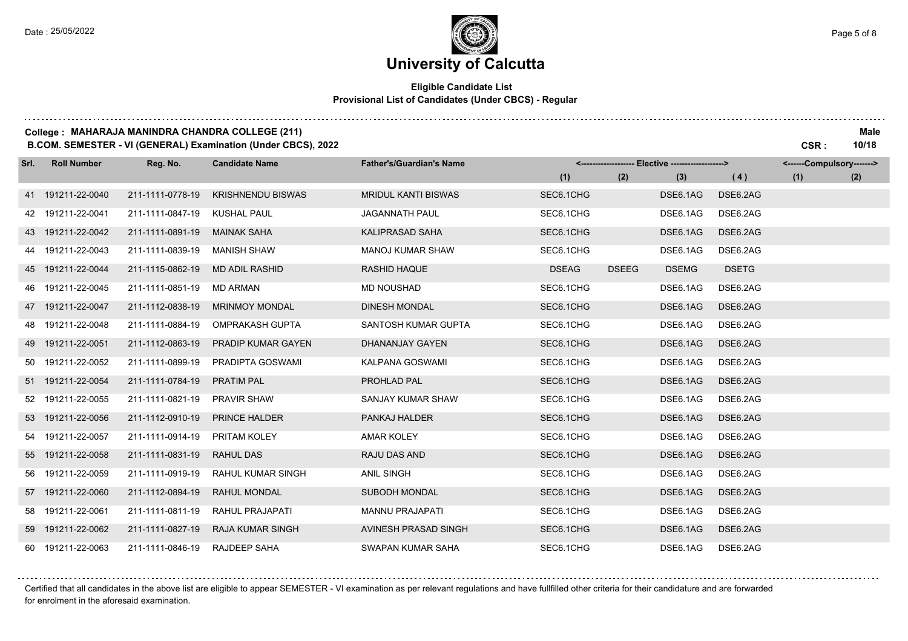and a straight

and a state of

## **University of Calcutta**

#### **Eligible Candidate List Provisional List of Candidates (Under CBCS) - Regular**

#### **College : MAHARAJA MANINDRA CHANDRA COLLEGE (211) Male**

**B.COM. SEMESTER - VI (GENERAL) Examination (Under CBCS), 2022 CSR : 10/18**

| Srl. | <b>Roll Number</b> | Reg. No.         | <b>Candidate Name</b>     | <b>Father's/Guardian's Name</b> |              |              | <------------------- Elective ------------------> |              | <------Compulsory-------> |     |
|------|--------------------|------------------|---------------------------|---------------------------------|--------------|--------------|---------------------------------------------------|--------------|---------------------------|-----|
|      |                    |                  |                           |                                 | (1)          | (2)          | (3)                                               | (4)          | (1)                       | (2) |
|      | 41 191211-22-0040  | 211-1111-0778-19 | <b>KRISHNENDU BISWAS</b>  | <b>MRIDUL KANTI BISWAS</b>      | SEC6.1CHG    |              | DSE6.1AG                                          | DSE6.2AG     |                           |     |
|      | 42 191211-22-0041  | 211-1111-0847-19 | <b>KUSHAL PAUL</b>        | <b>JAGANNATH PAUL</b>           | SEC6.1CHG    |              | DSE6.1AG                                          | DSE6.2AG     |                           |     |
|      | 43 191211-22-0042  | 211-1111-0891-19 | <b>MAINAK SAHA</b>        | <b>KALIPRASAD SAHA</b>          | SEC6.1CHG    |              | DSE6.1AG                                          | DSE6.2AG     |                           |     |
|      | 44 191211-22-0043  | 211-1111-0839-19 | <b>MANISH SHAW</b>        | <b>MANOJ KUMAR SHAW</b>         | SEC6.1CHG    |              | DSE6.1AG                                          | DSE6.2AG     |                           |     |
|      | 45 191211-22-0044  | 211-1115-0862-19 | <b>MD ADIL RASHID</b>     | <b>RASHID HAQUE</b>             | <b>DSEAG</b> | <b>DSEEG</b> | <b>DSEMG</b>                                      | <b>DSETG</b> |                           |     |
|      | 46 191211-22-0045  | 211-1111-0851-19 | <b>MD ARMAN</b>           | <b>MD NOUSHAD</b>               | SEC6.1CHG    |              | DSE6.1AG                                          | DSE6.2AG     |                           |     |
|      | 47 191211-22-0047  | 211-1112-0838-19 | <b>MRINMOY MONDAL</b>     | <b>DINESH MONDAL</b>            | SEC6.1CHG    |              | DSE6.1AG                                          | DSE6.2AG     |                           |     |
|      | 48 191211-22-0048  | 211-1111-0884-19 | <b>OMPRAKASH GUPTA</b>    | SANTOSH KUMAR GUPTA             | SEC6.1CHG    |              | DSE6.1AG                                          | DSE6.2AG     |                           |     |
|      | 49 191211-22-0051  | 211-1112-0863-19 | <b>PRADIP KUMAR GAYEN</b> | DHANANJAY GAYEN                 | SEC6.1CHG    |              | DSE6.1AG                                          | DSE6.2AG     |                           |     |
|      | 50 191211-22-0052  | 211-1111-0899-19 | PRADIPTA GOSWAMI          | KALPANA GOSWAMI                 | SEC6.1CHG    |              | DSE6.1AG                                          | DSE6.2AG     |                           |     |
|      | 51 191211-22-0054  | 211-1111-0784-19 | <b>PRATIM PAL</b>         | PROHLAD PAL                     | SEC6.1CHG    |              | DSE6.1AG                                          | DSE6.2AG     |                           |     |
|      | 52 191211-22-0055  | 211-1111-0821-19 | <b>PRAVIR SHAW</b>        | SANJAY KUMAR SHAW               | SEC6.1CHG    |              | DSE6.1AG                                          | DSE6.2AG     |                           |     |
|      | 53 191211-22-0056  | 211-1112-0910-19 | PRINCE HALDER             | <b>PANKAJ HALDER</b>            | SEC6.1CHG    |              | DSE6.1AG                                          | DSE6.2AG     |                           |     |
|      | 54 191211-22-0057  | 211-1111-0914-19 | PRITAM KOLEY              | <b>AMAR KOLEY</b>               | SEC6.1CHG    |              | DSE6.1AG                                          | DSE6.2AG     |                           |     |
|      | 55 191211-22-0058  | 211-1111-0831-19 | <b>RAHUL DAS</b>          | RAJU DAS AND                    | SEC6.1CHG    |              | DSE6.1AG                                          | DSE6.2AG     |                           |     |
|      | 56 191211-22-0059  | 211-1111-0919-19 | <b>RAHUL KUMAR SINGH</b>  | <b>ANIL SINGH</b>               | SEC6.1CHG    |              | DSE6.1AG                                          | DSE6.2AG     |                           |     |
|      | 57 191211-22-0060  | 211-1112-0894-19 | RAHUL MONDAL              | <b>SUBODH MONDAL</b>            | SEC6.1CHG    |              | DSE6.1AG                                          | DSE6.2AG     |                           |     |
|      | 58 191211-22-0061  | 211-1111-0811-19 | RAHUL PRAJAPATI           | <b>MANNU PRAJAPATI</b>          | SEC6.1CHG    |              | DSE6.1AG                                          | DSE6.2AG     |                           |     |
|      | 59 191211-22-0062  | 211-1111-0827-19 | <b>RAJA KUMAR SINGH</b>   | AVINESH PRASAD SINGH            | SEC6.1CHG    |              | DSE6.1AG                                          | DSE6.2AG     |                           |     |
|      | 60 191211-22-0063  | 211-1111-0846-19 | <b>RAJDEEP SAHA</b>       | SWAPAN KUMAR SAHA               | SEC6.1CHG    |              | DSE6.1AG                                          | DSE6.2AG     |                           |     |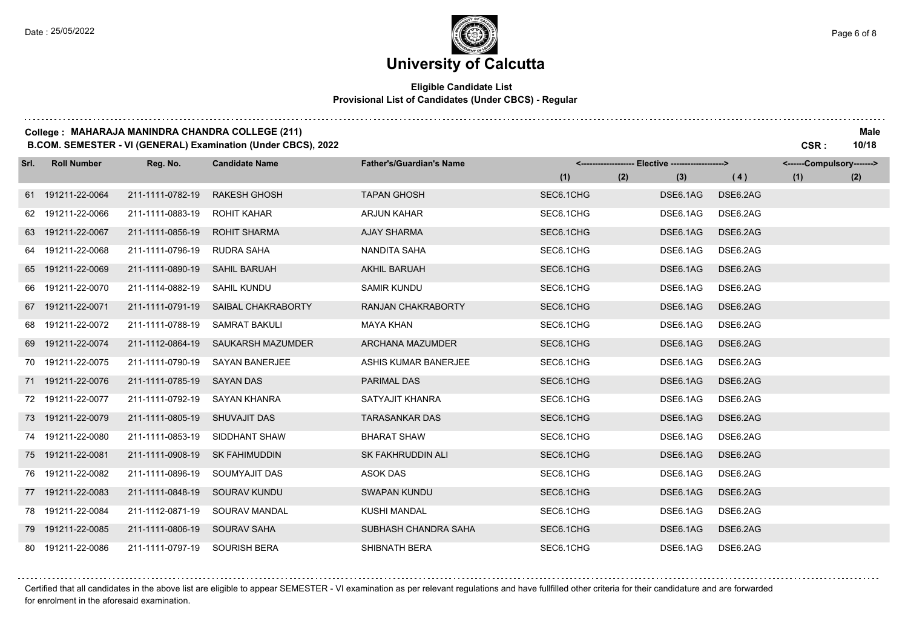## **University of Calcutta**

#### **Eligible Candidate List Provisional List of Candidates (Under CBCS) - Regular**

#### **College : MAHARAJA MANINDRA CHANDRA COLLEGE (211) Male**

**B.COM. SEMESTER - VI (GENERAL) Examination (Under CBCS), 2022 CSR : 10/18**

| Srl. | <b>Roll Number</b> | Reg. No.         | <b>Candidate Name</b>    | <b>Father's/Guardian's Name</b> |           | <------------------- Elective ------------------> |          | <------Compulsory-------> |     |
|------|--------------------|------------------|--------------------------|---------------------------------|-----------|---------------------------------------------------|----------|---------------------------|-----|
|      |                    |                  |                          |                                 | (1)       | (2)<br>(3)                                        | (4)      | (1)                       | (2) |
|      | 61 191211-22-0064  | 211-1111-0782-19 | <b>RAKESH GHOSH</b>      | <b>TAPAN GHOSH</b>              | SEC6.1CHG | DSE6.1AG                                          | DSE6.2AG |                           |     |
|      | 62 191211-22-0066  | 211-1111-0883-19 | <b>ROHIT KAHAR</b>       | <b>ARJUN KAHAR</b>              | SEC6.1CHG | DSE6.1AG                                          | DSE6.2AG |                           |     |
|      | 63 191211-22-0067  | 211-1111-0856-19 | <b>ROHIT SHARMA</b>      | <b>AJAY SHARMA</b>              | SEC6.1CHG | DSE6.1AG                                          | DSE6.2AG |                           |     |
|      | 64 191211-22-0068  | 211-1111-0796-19 | RUDRA SAHA               | NANDITA SAHA                    | SEC6.1CHG | DSE6.1AG                                          | DSE6.2AG |                           |     |
|      | 65 191211-22-0069  | 211-1111-0890-19 | <b>SAHIL BARUAH</b>      | <b>AKHIL BARUAH</b>             | SEC6.1CHG | DSE6.1AG                                          | DSE6.2AG |                           |     |
|      | 66 191211-22-0070  | 211-1114-0882-19 | <b>SAHIL KUNDU</b>       | <b>SAMIR KUNDU</b>              | SEC6.1CHG | DSE6.1AG                                          | DSE6.2AG |                           |     |
|      | 67 191211-22-0071  | 211-1111-0791-19 | SAIBAL CHAKRABORTY       | RANJAN CHAKRABORTY              | SEC6.1CHG | DSE6.1AG                                          | DSE6.2AG |                           |     |
|      | 68 191211-22-0072  | 211-1111-0788-19 | <b>SAMRAT BAKULI</b>     | MAYA KHAN                       | SEC6.1CHG | DSE6.1AG                                          | DSE6.2AG |                           |     |
|      | 69 191211-22-0074  | 211-1112-0864-19 | <b>SAUKARSH MAZUMDER</b> | ARCHANA MAZUMDER                | SEC6.1CHG | DSE6.1AG                                          | DSE6.2AG |                           |     |
|      | 70 191211-22-0075  | 211-1111-0790-19 | <b>SAYAN BANERJEE</b>    | ASHIS KUMAR BANERJEE            | SEC6.1CHG | DSE6.1AG                                          | DSE6.2AG |                           |     |
|      | 71 191211-22-0076  | 211-1111-0785-19 | <b>SAYAN DAS</b>         | <b>PARIMAL DAS</b>              | SEC6.1CHG | DSE6.1AG                                          | DSE6.2AG |                           |     |
|      | 72 191211-22-0077  | 211-1111-0792-19 | SAYAN KHANRA             | SATYAJIT KHANRA                 | SEC6.1CHG | DSE6.1AG                                          | DSE6.2AG |                           |     |
|      | 73 191211-22-0079  | 211-1111-0805-19 | <b>SHUVAJIT DAS</b>      | <b>TARASANKAR DAS</b>           | SEC6.1CHG | DSE6.1AG                                          | DSE6.2AG |                           |     |
|      | 74 191211-22-0080  | 211-1111-0853-19 | SIDDHANT SHAW            | <b>BHARAT SHAW</b>              | SEC6.1CHG | DSE6.1AG                                          | DSE6.2AG |                           |     |
|      | 75 191211-22-0081  | 211-1111-0908-19 | <b>SK FAHIMUDDIN</b>     | SK FAKHRUDDIN ALI               | SEC6.1CHG | DSE6.1AG                                          | DSE6.2AG |                           |     |
|      | 76 191211-22-0082  | 211-1111-0896-19 | SOUMYAJIT DAS            | <b>ASOK DAS</b>                 | SEC6.1CHG | DSE6.1AG                                          | DSE6.2AG |                           |     |
|      | 77 191211-22-0083  | 211-1111-0848-19 | SOURAV KUNDU             | <b>SWAPAN KUNDU</b>             | SEC6.1CHG | DSE6.1AG                                          | DSE6.2AG |                           |     |
|      | 78 191211-22-0084  | 211-1112-0871-19 | SOURAV MANDAL            | <b>KUSHI MANDAL</b>             | SEC6.1CHG | DSE6.1AG                                          | DSE6.2AG |                           |     |
|      | 79 191211-22-0085  | 211-1111-0806-19 | <b>SOURAV SAHA</b>       | SUBHASH CHANDRA SAHA            | SEC6.1CHG | DSE6.1AG                                          | DSE6.2AG |                           |     |
|      | 80 191211-22-0086  | 211-1111-0797-19 | <b>SOURISH BERA</b>      | SHIBNATH BERA                   | SEC6.1CHG | DSE6.1AG                                          | DSE6.2AG |                           |     |

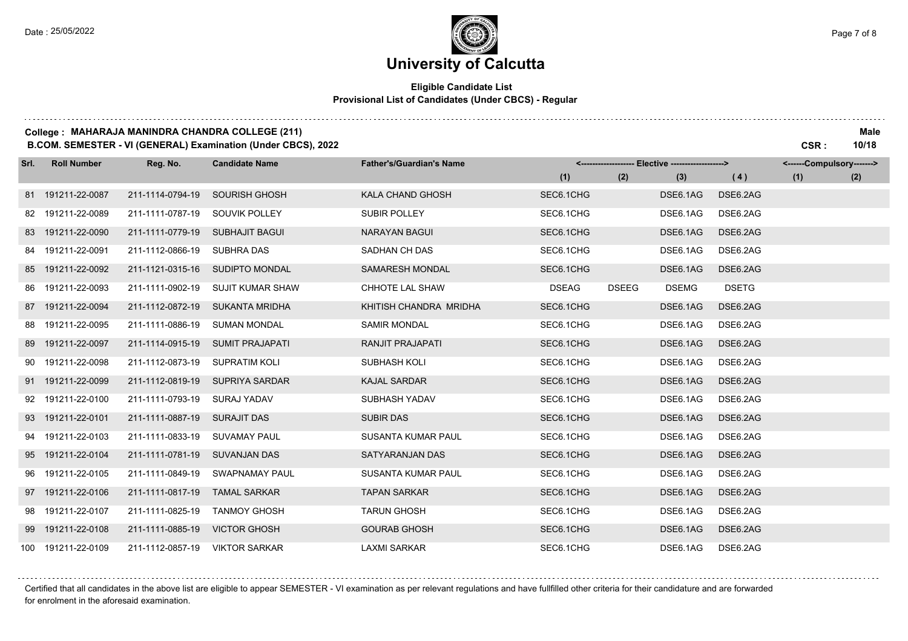### **University of Calcutta**

#### **Eligible Candidate List Provisional List of Candidates (Under CBCS) - Regular**

#### **College : MAHARAJA MANINDRA CHANDRA COLLEGE (211) Male**

**B.COM. SEMESTER - VI (GENERAL) Examination (Under CBCS), 2022 CSR : 10/18**

| Srl. | <b>Roll Number</b> | Reg. No.         | <b>Candidate Name</b>   | <b>Father's/Guardian's Name</b> |              |              | <------------------- Elective ------------------> |              | <------Compulsory-------> |     |
|------|--------------------|------------------|-------------------------|---------------------------------|--------------|--------------|---------------------------------------------------|--------------|---------------------------|-----|
|      |                    |                  |                         |                                 | (1)          | (2)          | (3)                                               | (4)          | (1)                       | (2) |
|      | 81 191211-22-0087  | 211-1114-0794-19 | <b>SOURISH GHOSH</b>    | KALA CHAND GHOSH                | SEC6.1CHG    |              | DSE6.1AG                                          | DSE6.2AG     |                           |     |
|      | 82 191211-22-0089  | 211-1111-0787-19 | SOUVIK POLLEY           | <b>SUBIR POLLEY</b>             | SEC6.1CHG    |              | DSE6.1AG                                          | DSE6.2AG     |                           |     |
|      | 83 191211-22-0090  | 211-1111-0779-19 | <b>SUBHAJIT BAGUI</b>   | <b>NARAYAN BAGUI</b>            | SEC6.1CHG    |              | DSE6.1AG                                          | DSE6.2AG     |                           |     |
|      | 84 191211-22-0091  | 211-1112-0866-19 | <b>SUBHRA DAS</b>       | SADHAN CH DAS                   | SEC6.1CHG    |              | DSE6.1AG                                          | DSE6.2AG     |                           |     |
|      | 85 191211-22-0092  | 211-1121-0315-16 | SUDIPTO MONDAL          | <b>SAMARESH MONDAL</b>          | SEC6.1CHG    |              | DSE6.1AG                                          | DSE6.2AG     |                           |     |
| 86   | 191211-22-0093     | 211-1111-0902-19 | <b>SUJIT KUMAR SHAW</b> | CHHOTE LAL SHAW                 | <b>DSEAG</b> | <b>DSEEG</b> | <b>DSEMG</b>                                      | <b>DSETG</b> |                           |     |
|      | 87 191211-22-0094  | 211-1112-0872-19 | <b>SUKANTA MRIDHA</b>   | KHITISH CHANDRA MRIDHA          | SEC6.1CHG    |              | DSE6.1AG                                          | DSE6.2AG     |                           |     |
|      | 88 191211-22-0095  | 211-1111-0886-19 | <b>SUMAN MONDAL</b>     | <b>SAMIR MONDAL</b>             | SEC6.1CHG    |              | DSE6.1AG                                          | DSE6.2AG     |                           |     |
|      | 89 191211-22-0097  | 211-1114-0915-19 | <b>SUMIT PRAJAPATI</b>  | RANJIT PRAJAPATI                | SEC6.1CHG    |              | DSE6.1AG                                          | DSE6.2AG     |                           |     |
|      | 90 191211-22-0098  | 211-1112-0873-19 | <b>SUPRATIM KOLI</b>    | SUBHASH KOLI                    | SEC6.1CHG    |              | DSE6.1AG                                          | DSE6.2AG     |                           |     |
|      | 91 191211-22-0099  | 211-1112-0819-19 | SUPRIYA SARDAR          | <b>KAJAL SARDAR</b>             | SEC6.1CHG    |              | DSE6.1AG                                          | DSE6.2AG     |                           |     |
|      | 92 191211-22-0100  | 211-1111-0793-19 | <b>SURAJ YADAV</b>      | SUBHASH YADAV                   | SEC6.1CHG    |              | DSE6.1AG                                          | DSE6.2AG     |                           |     |
|      | 93 191211-22-0101  | 211-1111-0887-19 | <b>SURAJIT DAS</b>      | <b>SUBIR DAS</b>                | SEC6.1CHG    |              | DSE6.1AG                                          | DSE6.2AG     |                           |     |
|      | 94 191211-22-0103  | 211-1111-0833-19 | <b>SUVAMAY PAUL</b>     | <b>SUSANTA KUMAR PAUL</b>       | SEC6.1CHG    |              | DSE6.1AG                                          | DSE6.2AG     |                           |     |
|      | 95 191211-22-0104  | 211-1111-0781-19 | <b>SUVANJAN DAS</b>     | SATYARANJAN DAS                 | SEC6.1CHG    |              | DSE6.1AG                                          | DSE6.2AG     |                           |     |
| 96   | 191211-22-0105     | 211-1111-0849-19 | <b>SWAPNAMAY PAUL</b>   | SUSANTA KUMAR PAUL              | SEC6.1CHG    |              | DSE6.1AG                                          | DSE6.2AG     |                           |     |
|      | 97 191211-22-0106  | 211-1111-0817-19 | <b>TAMAL SARKAR</b>     | <b>TAPAN SARKAR</b>             | SEC6.1CHG    |              | DSE6.1AG                                          | DSE6.2AG     |                           |     |
| 98   | 191211-22-0107     | 211-1111-0825-19 | <b>TANMOY GHOSH</b>     | <b>TARUN GHOSH</b>              | SEC6.1CHG    |              | DSE6.1AG                                          | DSE6.2AG     |                           |     |
|      | 99 191211-22-0108  | 211-1111-0885-19 | <b>VICTOR GHOSH</b>     | <b>GOURAB GHOSH</b>             | SEC6.1CHG    |              | DSE6.1AG                                          | DSE6.2AG     |                           |     |
|      | 100 191211-22-0109 | 211-1112-0857-19 | <b>VIKTOR SARKAR</b>    | <b>LAXMI SARKAR</b>             | SEC6.1CHG    |              | DSE6.1AG                                          | DSE6.2AG     |                           |     |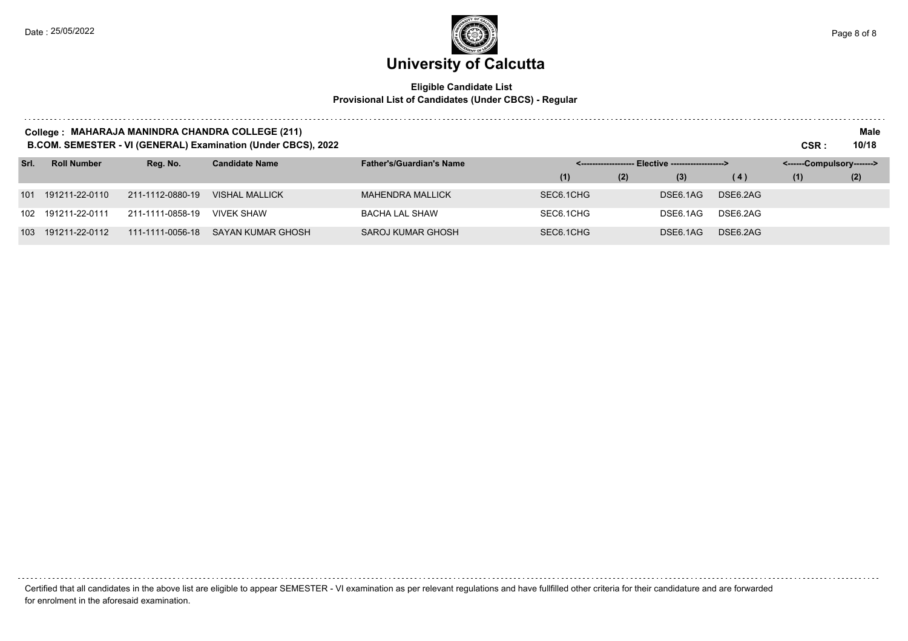# **University of Calcutta**

#### **Eligible Candidate List Provisional List of Candidates (Under CBCS) - Regular**

| College : MAHARAJA MANINDRA CHANDRA COLLEGE (211)<br>B.COM. SEMESTER - VI (GENERAL) Examination (Under CBCS), 2022<br>CSR : |                    |                  |                          |                                 |                     |     |                                 |          |                           |     |
|-----------------------------------------------------------------------------------------------------------------------------|--------------------|------------------|--------------------------|---------------------------------|---------------------|-----|---------------------------------|----------|---------------------------|-----|
| Srl.                                                                                                                        | <b>Roll Number</b> | Reg. No.         | <b>Candidate Name</b>    | <b>Father's/Guardian's Name</b> | < ----------------- |     | - Elective -------------------> |          | <------Compulsory-------> |     |
|                                                                                                                             |                    |                  |                          |                                 | (1)                 | (2) | (3)                             | (4)      | (1)                       | (2) |
| 101                                                                                                                         | 191211-22-0110     | 211-1112-0880-19 | <b>VISHAL MALLICK</b>    | <b>MAHENDRA MALLICK</b>         | SEC6.1CHG           |     | DSE6.1AG                        | DSE6.2AG |                           |     |
| 102                                                                                                                         | 191211-22-0111     | 211-1111-0858-19 | <b>VIVEK SHAW</b>        | <b>BACHA LAL SHAW</b>           | SEC6.1CHG           |     | DSE6.1AG                        | DSE6.2AG |                           |     |
| 103                                                                                                                         | 191211-22-0112     | 111-1111-0056-18 | <b>SAYAN KUMAR GHOSH</b> | SAROJ KUMAR GHOSH               | SEC6.1CHG           |     | DSE6.1AG                        | DSE6.2AG |                           |     |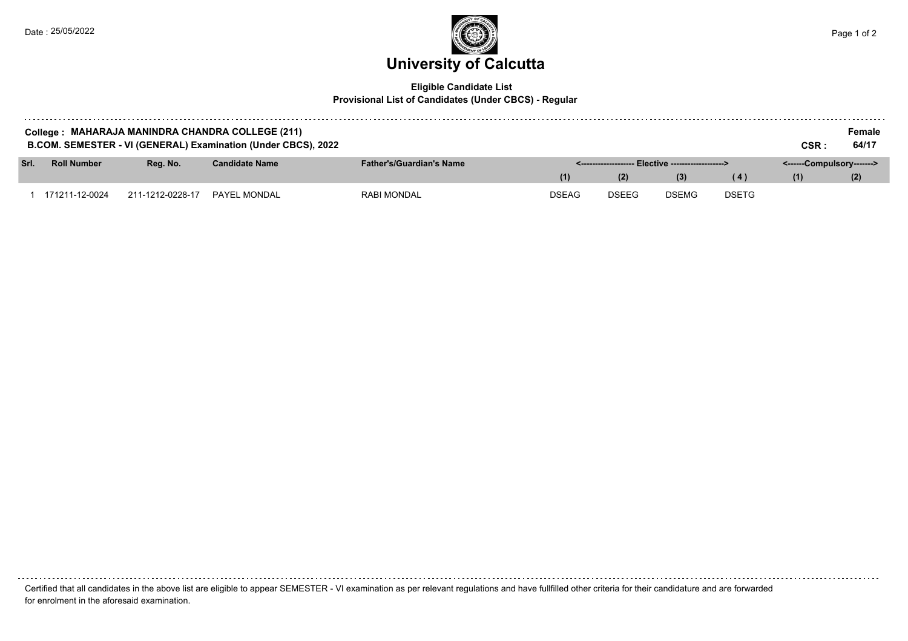

#### **Eligible Candidate List Provisional List of Candidates (Under CBCS) - Regular**

| College: MAHARAJA MANINDRA CHANDRA COLLEGE (211)<br>B.COM. SEMESTER - VI (GENERAL) Examination (Under CBCS), 2022<br>CSR : |                    |                  |                       |                                 |              |              |                                                     |              |                           |       |
|----------------------------------------------------------------------------------------------------------------------------|--------------------|------------------|-----------------------|---------------------------------|--------------|--------------|-----------------------------------------------------|--------------|---------------------------|-------|
|                                                                                                                            |                    |                  |                       |                                 |              |              |                                                     |              |                           | 64/17 |
| Srl.                                                                                                                       | <b>Roll Number</b> | Reg. No.         | <b>Candidate Name</b> | <b>Father's/Guardian's Name</b> |              |              | <-------------------- Elective -------------------> |              | <------Compulsory-------> |       |
|                                                                                                                            |                    |                  |                       |                                 | (1)          | (2)          | (3)                                                 | (4)          | (1)                       | (2)   |
|                                                                                                                            | ' 171211-12-0024   | 211-1212-0228-17 | PAYEL MONDAL          | <b>RABI MONDAL</b>              | <b>DSEAG</b> | <b>DSEEG</b> | <b>DSEMG</b>                                        | <b>DSETG</b> |                           |       |

Certified that all candidates in the above list are eligible to appear SEMESTER - VI examination as per relevant regulations and have fullfilled other criteria for their candidature and are forwarded for enrolment in the aforesaid examination.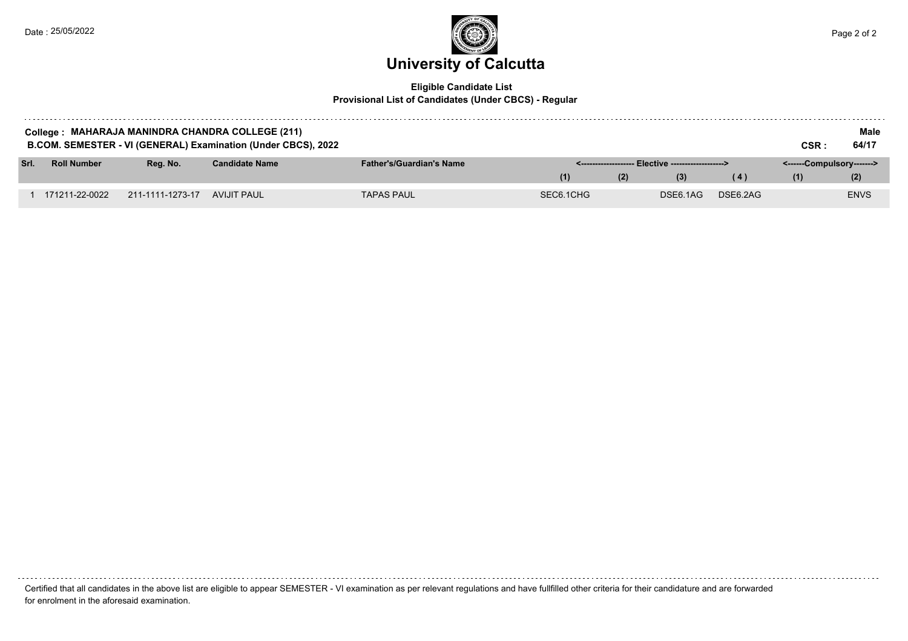

#### **Eligible Candidate List Provisional List of Candidates (Under CBCS) - Regular**

| College : MAHARAJA MANINDRA CHANDRA COLLEGE (211)<br>B.COM. SEMESTER - VI (GENERAL) Examination (Under CBCS), 2022<br>CSR : |                    |                  |                       |                                 |           |     |                                                     |          |                           |             |
|-----------------------------------------------------------------------------------------------------------------------------|--------------------|------------------|-----------------------|---------------------------------|-----------|-----|-----------------------------------------------------|----------|---------------------------|-------------|
| Srl.                                                                                                                        | <b>Roll Number</b> | Rea. No.         | <b>Candidate Name</b> | <b>Father's/Guardian's Name</b> |           |     | <-------------------- Elective -------------------> |          | <------Compulsory-------> |             |
|                                                                                                                             |                    |                  |                       |                                 |           | (2) | (3)                                                 | (4)      | (1)                       | (2)         |
|                                                                                                                             |                    |                  |                       |                                 |           |     |                                                     |          |                           |             |
|                                                                                                                             | 171211-22-0022     | 211-1111-1273-17 | AVIJIT PAUL           | <b>TAPAS PAUL</b>               | SEC6.1CHG |     | DSE6.1AG                                            | DSE6.2AG |                           | <b>ENVS</b> |

Certified that all candidates in the above list are eligible to appear SEMESTER - VI examination as per relevant regulations and have fullfilled other criteria for their candidature and are forwarded for enrolment in the aforesaid examination.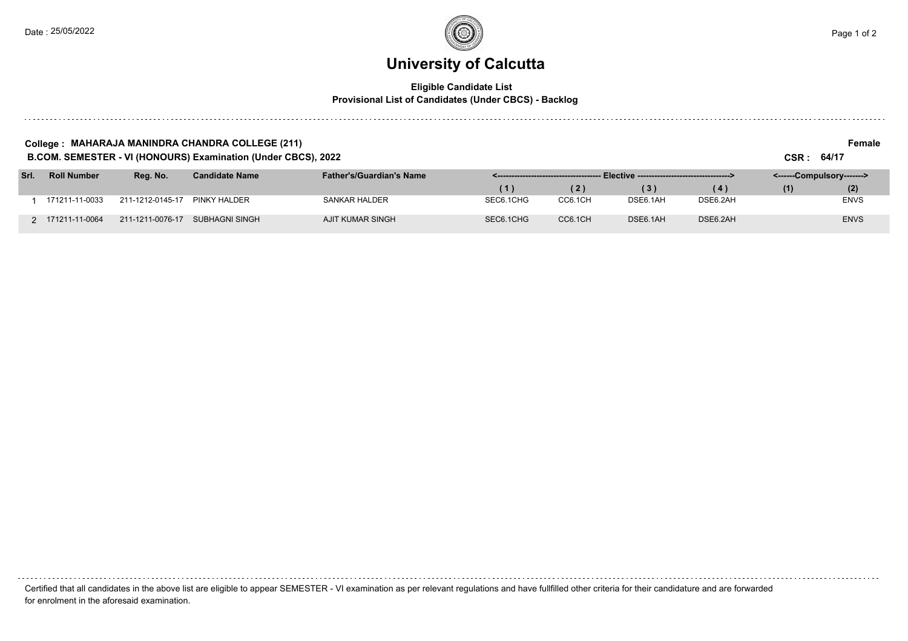. . . . . .

### **University of Calcutta**

#### **Eligible Candidate List Provisional List of Candidates (Under CBCS) - Backlog**

#### **College : MAHARAJA MANINDRA CHANDRA COLLEGE (211) Female**

**B.COM. SEMESTER - VI (HONOURS) Examination (Under CBCS), 2022 CSR : 64/17**

| Srl. | <b>Roll Number</b> | Rea. No.         | <b>Candidate Name</b> | <b>Father's/Guardian's Name</b> |                |         |          |          | <------Compulsory-------> |             |  |
|------|--------------------|------------------|-----------------------|---------------------------------|----------------|---------|----------|----------|---------------------------|-------------|--|
|      |                    |                  |                       |                                 | $\blacksquare$ | (2)     |          | (4)      | (1)                       | (2)         |  |
|      | 171211-11-0033     | 211-1212-0145-17 | PINKY HALDER          | SANKAR HALDER                   | SEC6.1CHG      | CC6.1CH | DSE6.1AH | DSE6.2AH |                           | <b>ENVS</b> |  |
|      | 2 171211-11-0064   | 211-1211-0076-17 | SUBHAGNI SINGH        | AJIT KUMAR SINGH                | SEC6.1CHG      | CC6.1CH | DSE6.1AH | DSE6.2AH |                           | <b>ENVS</b> |  |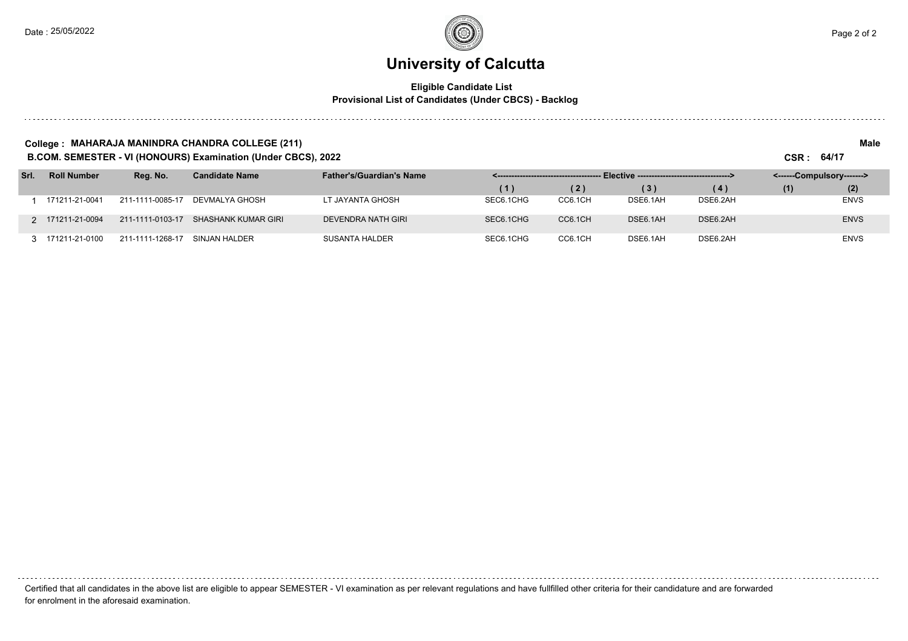#### **University of Calcutta**

#### **Eligible Candidate List Provisional List of Candidates (Under CBCS) - Backlog**

#### **College : MAHARAJA MANINDRA CHANDRA COLLEGE (211) Male**

**B.COM. SEMESTER - VI (HONOURS) Examination (Under CBCS), 2022 CSR : 64/17**

| Srl. | <b>Roll Number</b> | Reg. No.         | <b>Candidate Name</b> | <b>Father's/Guardian's Name</b> |                   |         |          |          | <------Compulsory-------> |             |  |
|------|--------------------|------------------|-----------------------|---------------------------------|-------------------|---------|----------|----------|---------------------------|-------------|--|
|      |                    |                  |                       |                                 | $\left( 1\right)$ | (2)     | (3)      | (4)      | (1)                       | (2)         |  |
|      | 171211-21-0041     | 211-1111-0085-17 | DEVMALYA GHOSH        | LT JAYANTA GHOSH                | SEC6.1CHG         | CC6.1CH | DSE6.1AH | DSE6.2AH |                           | <b>ENVS</b> |  |
|      | 2 171211-21-0094   | 211-1111-0103-17 | SHASHANK KUMAR GIRI   | DEVENDRA NATH GIRI              | SEC6.1CHG         | CC6.1CH | DSE6.1AH | DSE6.2AH |                           | <b>ENVS</b> |  |
|      | 3 171211-21-0100   | 211-1111-1268-17 | SINJAN HALDER         | <b>SUSANTA HALDER</b>           | SEC6.1CHG         | CC6.1CH | DSE6.1AH | DSE6.2AH |                           | <b>ENVS</b> |  |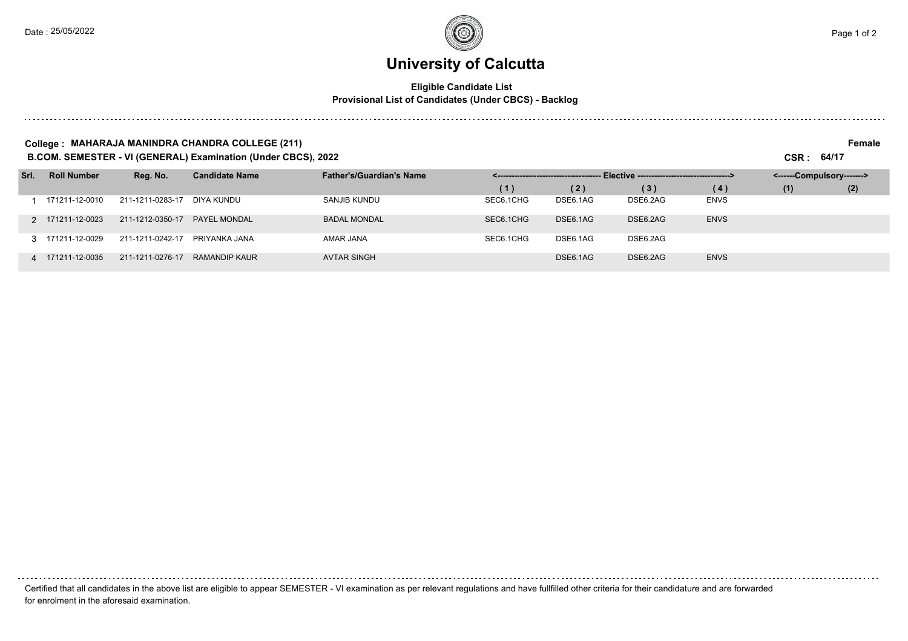### **University of Calcutta**

#### **Eligible Candidate List Provisional List of Candidates (Under CBCS) - Backlog**

#### **College : MAHARAJA MANINDRA CHANDRA COLLEGE (211) Female**

**B.COM. SEMESTER - VI (GENERAL) Examination (Under CBCS), 2022 CSR : 64/17**

| Srl. | <b>Roll Number</b> | Reg. No.         | <b>Candidate Name</b> | <b>Father's/Guardian's Name</b> | Elective -----------------------------------><br>< ------------------------------------ |          |          |             | <------Compulsory-------> |     |  |
|------|--------------------|------------------|-----------------------|---------------------------------|-----------------------------------------------------------------------------------------|----------|----------|-------------|---------------------------|-----|--|
|      |                    |                  |                       |                                 | (1)                                                                                     | (2)      | (3)      | (4)         | (1)                       | (2) |  |
|      | 171211-12-0010     | 211-1211-0283-17 | DIYA KUNDU            | SANJIB KUNDU                    | SEC6.1CHG                                                                               | DSE6.1AG | DSE6.2AG | <b>ENVS</b> |                           |     |  |
|      | 2 171211-12-0023   | 211-1212-0350-17 | <b>PAYEL MONDAL</b>   | <b>BADAL MONDAL</b>             | SEC6.1CHG                                                                               | DSE6.1AG | DSE6.2AG | <b>ENVS</b> |                           |     |  |
|      | 3 171211-12-0029   | 211-1211-0242-17 | PRIYANKA JANA         | AMAR JANA                       | SEC6.1CHG                                                                               | DSE6.1AG | DSE6.2AG |             |                           |     |  |
|      | 4 171211-12-0035   | 211-1211-0276-17 | RAMANDIP KAUR         | <b>AVTAR SINGH</b>              |                                                                                         | DSE6.1AG | DSE6.2AG | <b>ENVS</b> |                           |     |  |